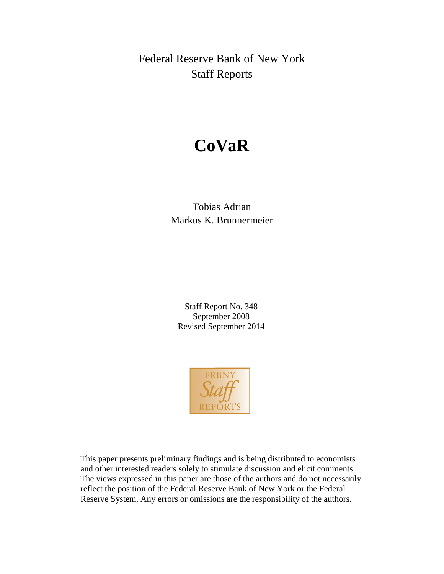Federal Reserve Bank of New York Staff Reports

# **CoVaR**

## Tobias Adrian Markus K. Brunnermeier

Staff Report No. 348 September 2008 Revised September 2014



This paper presents preliminary findings and is being distributed to economists and other interested readers solely to stimulate discussion and elicit comments. The views expressed in this paper are those of the authors and do not necessarily reflect the position of the Federal Reserve Bank of New York or the Federal Reserve System. Any errors or omissions are the responsibility of the authors.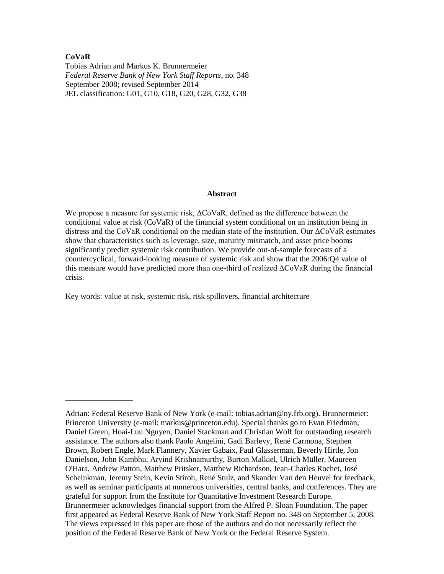### **CoVaR**

\_\_\_\_\_\_\_\_\_\_\_\_\_\_\_\_\_

Tobias Adrian and Markus K. Brunnermeier *Federal Reserve Bank of New York Staff Reports*, no. 348 September 2008; revised September 2014 JEL classification: G01, G10, G18, G20, G28, G32, G38

### **Abstract**

We propose a measure for systemic risk, ΔCoVaR, defined as the difference between the conditional value at risk (CoVaR) of the financial system conditional on an institution being in distress and the CoVaR conditional on the median state of the institution. Our ΔCoVaR estimates show that characteristics such as leverage, size, maturity mismatch, and asset price booms significantly predict systemic risk contribution. We provide out-of-sample forecasts of a countercyclical, forward-looking measure of systemic risk and show that the 2006:Q4 value of this measure would have predicted more than one-third of realized ΔCoVaR during the financial crisis.

Key words: value at risk, systemic risk, risk spillovers, financial architecture

Adrian: Federal Reserve Bank of New York (e-mail: tobias.adrian@ny.frb.org). Brunnermeier: Princeton University (e-mail: markus@princeton.edu). Special thanks go to Evan Friedman, Daniel Green, Hoai-Luu Nguyen, Daniel Stackman and Christian Wolf for outstanding research assistance. The authors also thank Paolo Angelini, Gadi Barlevy, René Carmona, Stephen Brown, Robert Engle, Mark Flannery, Xavier Gabaix, Paul Glasserman, Beverly Hirtle, Jon Danielson, John Kambhu, Arvind Krishnamurthy, Burton Malkiel, Ulrich Müller, Maureen O'Hara, Andrew Patton, Matthew Pritsker, Matthew Richardson, Jean-Charles Rochet, José Scheinkman, Jeremy Stein, Kevin Stiroh, René Stulz, and Skander Van den Heuvel for feedback, as well as seminar participants at numerous universities, central banks, and conferences. They are grateful for support from the Institute for Quantitative Investment Research Europe. Brunnermeier acknowledges financial support from the Alfred P. Sloan Foundation. The paper first appeared as Federal Reserve Bank of New York Staff Report no. 348 on September 5, 2008. The views expressed in this paper are those of the authors and do not necessarily reflect the position of the Federal Reserve Bank of New York or the Federal Reserve System.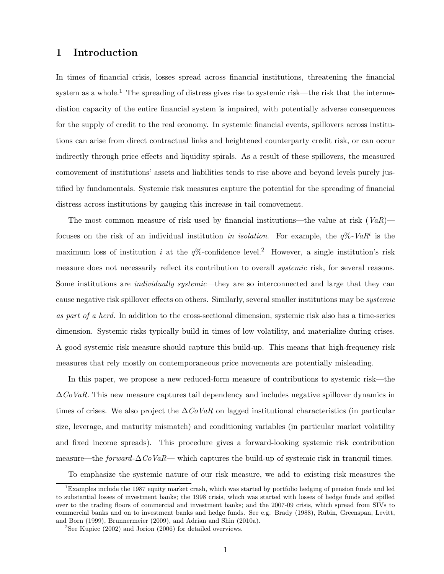### 1 Introduction

In times of financial crisis, losses spread across financial institutions, threatening the financial system as a whole.<sup>1</sup> The spreading of distress gives rise to systemic risk—the risk that the intermediation capacity of the entire financial system is impaired, with potentially adverse consequences for the supply of credit to the real economy. In systemic financial events, spillovers across institutions can arise from direct contractual links and heightened counterparty credit risk, or can occur indirectly through price effects and liquidity spirals. As a result of these spillovers, the measured comovement of institutions' assets and liabilities tends to rise above and beyond levels purely justified by fundamentals. Systemic risk measures capture the potential for the spreading of financial distress across institutions by gauging this increase in tail comovement.

The most common measure of risk used by financial institutions—the value at risk  $(VaR)$  focuses on the risk of an individual institution in isolation. For example, the  $q\%$ -Va $R^i$  is the maximum loss of institution i at the  $q\%$ -confidence level.<sup>2</sup> However, a single institution's risk measure does not necessarily reflect its contribution to overall *systemic* risk, for several reasons. Some institutions are *individually systemic*—they are so interconnected and large that they can cause negative risk spillover effects on others. Similarly, several smaller institutions may be systemic as part of a herd. In addition to the cross-sectional dimension, systemic risk also has a time-series dimension. Systemic risks typically build in times of low volatility, and materialize during crises. A good systemic risk measure should capture this build-up. This means that high-frequency risk measures that rely mostly on contemporaneous price movements are potentially misleading.

In this paper, we propose a new reduced-form measure of contributions to systemic risk—the  $\Delta \mathcal{C}oVaR$ . This new measure captures tail dependency and includes negative spillover dynamics in times of crises. We also project the  $\Delta CoVaR$  on lagged institutional characteristics (in particular size, leverage, and maturity mismatch) and conditioning variables (in particular market volatility and fixed income spreads). This procedure gives a forward-looking systemic risk contribution measure—the forward- $\Delta CoVaR$ — which captures the build-up of systemic risk in tranquil times.

To emphasize the systemic nature of our risk measure, we add to existing risk measures the

<sup>1</sup>Examples include the 1987 equity market crash, which was started by portfolio hedging of pension funds and led to substantial losses of investment banks; the 1998 crisis, which was started with losses of hedge funds and spilled over to the trading floors of commercial and investment banks; and the 2007-09 crisis, which spread from SIVs to commercial banks and on to investment banks and hedge funds. See e.g. Brady (1988), Rubin, Greenspan, Levitt, and Born (1999), Brunnermeier (2009), and Adrian and Shin (2010a).

<sup>2</sup>See Kupiec (2002) and Jorion (2006) for detailed overviews.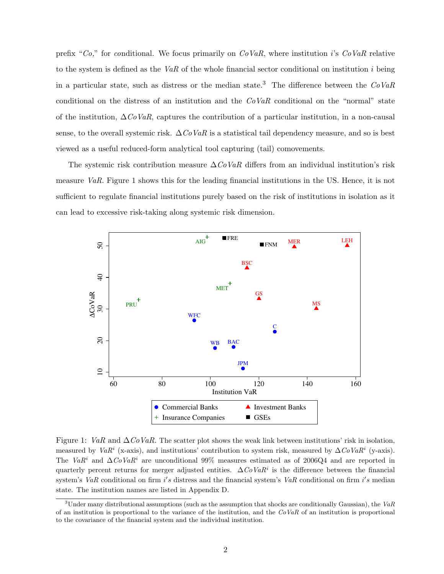prefix "Co," for conditional. We focus primarily on  $CoVaR$ , where institution i's  $CoVaR$  relative to the system is defined as the VaR of the whole financial sector conditional on institution i being in a particular state, such as distress or the median state.<sup>3</sup> The difference between the  $CoVaR$ conditional on the distress of an institution and the  $CoVaR$  conditional on the "normal" state of the institution,  $\Delta CoVaR$ , captures the contribution of a particular institution, in a non-causal sense, to the overall systemic risk.  $\Delta C_0 V_a R$  is a statistical tail dependency measure, and so is best viewed as a useful reduced-form analytical tool capturing (tail) comovements.

The systemic risk contribution measure  $\Delta \cos V aR$  differs from an individual institution's risk measure VaR. Figure 1 shows this for the leading financial institutions in the US. Hence, it is not sufficient to regulate financial institutions purely based on the risk of institutions in isolation as it can lead to excessive risk-taking along systemic risk dimension.



Figure 1: VaR and  $\Delta CoVaR$ . The scatter plot shows the weak link between institutions' risk in isolation, measured by  $VaR^i$  (x-axis), and institutions' contribution to system risk, measured by  $\Delta CoVaR^i$  (y-axis). The VaR<sup>i</sup> and  $\Delta CoVaR^i$  are unconditional 99% measures estimated as of 2006Q4 and are reported in quarterly percent returns for merger adjusted entities.  $\Delta C_0 VaR^i$  is the difference between the financial system's VaR conditional on firm i's distress and the financial system's VaR conditional on firm i's median state. The institution names are listed in Appendix D.

 $3$ Under many distributional assumptions (such as the assumption that shocks are conditionally Gaussian), the VaR of an institution is proportional to the variance of the institution, and the  $CoVaR$  of an institution is proportional to the covariance of the financial system and the individual institution.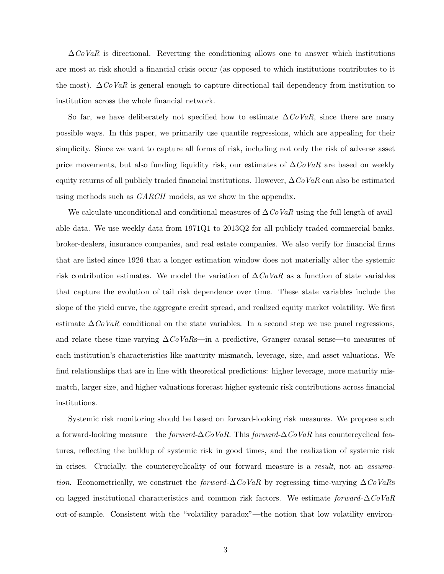$\Delta$ CoVaR is directional. Reverting the conditioning allows one to answer which institutions are most at risk should a financial crisis occur (as opposed to which institutions contributes to it the most).  $\Delta \text{CoVaR}$  is general enough to capture directional tail dependency from institution to institution across the whole financial network.

So far, we have deliberately not specified how to estimate  $\Delta CoVaR$ , since there are many possible ways. In this paper, we primarily use quantile regressions, which are appealing for their simplicity. Since we want to capture all forms of risk, including not only the risk of adverse asset price movements, but also funding liquidity risk, our estimates of  $\Delta C_0VaR$  are based on weekly equity returns of all publicly traded financial institutions. However,  $\Delta \dot{C}oVaR$  can also be estimated using methods such as  $GARCH$  models, as we show in the appendix.

We calculate unconditional and conditional measures of  $\Delta CoVaR$  using the full length of available data. We use weekly data from 1971Q1 to 2013Q2 for all publicly traded commercial banks, broker-dealers, insurance companies, and real estate companies. We also verify for financial firms that are listed since 1926 that a longer estimation window does not materially alter the systemic risk contribution estimates. We model the variation of  $\Delta \dot{C}oVaR$  as a function of state variables that capture the evolution of tail risk dependence over time. These state variables include the slope of the yield curve, the aggregate credit spread, and realized equity market volatility. We first estimate  $\Delta \mathcal{C}oVaR$  conditional on the state variables. In a second step we use panel regressions, and relate these time-varying  $\Delta CoVaRs$ —in a predictive, Granger causal sense—to measures of each institution's characteristics like maturity mismatch, leverage, size, and asset valuations. We find relationships that are in line with theoretical predictions: higher leverage, more maturity mismatch, larger size, and higher valuations forecast higher systemic risk contributions across financial institutions.

Systemic risk monitoring should be based on forward-looking risk measures. We propose such a forward-looking measure—the *forward-*∆CoVaR. This forward- $\Delta$ CoVaR has countercyclical features, reflecting the buildup of systemic risk in good times, and the realization of systemic risk in crises. Crucially, the countercyclicality of our forward measure is a result, not an assumption. Econometrically, we construct the forward- $\Delta C_0$ VaR by regressing time-varying  $\Delta C_0$ VaRs on lagged institutional characteristics and common risk factors. We estimate forward- $\Delta CoVaR$ out-of-sample. Consistent with the "volatility paradox"—the notion that low volatility environ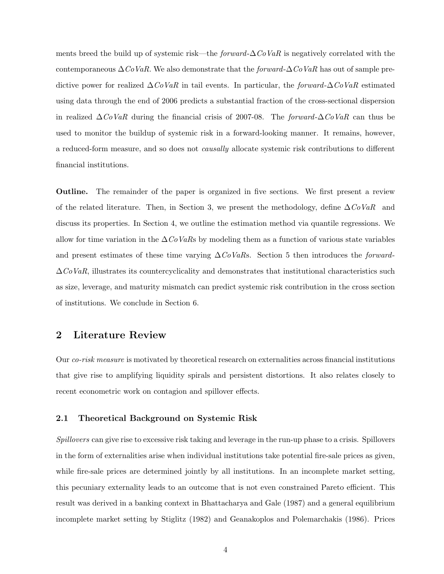ments breed the build up of systemic risk—the *forward-* $\Delta \text{CoVaR}$  is negatively correlated with the contemporaneous  $\Delta$ CoVaR. We also demonstrate that the forward- $\Delta$ CoVaR has out of sample predictive power for realized  $\Delta C_0VaR$  in tail events. In particular, the forward- $\Delta C_0VaR$  estimated using data through the end of 2006 predicts a substantial fraction of the cross-sectional dispersion in realized  $\Delta$ CoVaR during the financial crisis of 2007-08. The forward- $\Delta$ CoVaR can thus be used to monitor the buildup of systemic risk in a forward-looking manner. It remains, however, a reduced-form measure, and so does not causally allocate systemic risk contributions to different financial institutions.

Outline. The remainder of the paper is organized in five sections. We first present a review of the related literature. Then, in Section 3, we present the methodology, define  $\Delta \textit{CoVaR}$  and discuss its properties. In Section 4, we outline the estimation method via quantile regressions. We allow for time variation in the  $\Delta \dot{C}oVaRs$  by modeling them as a function of various state variables and present estimates of these time varying  $\Delta CoVaR$ s. Section 5 then introduces the *forward*- $\Delta CoVaR$ , illustrates its countercyclicality and demonstrates that institutional characteristics such as size, leverage, and maturity mismatch can predict systemic risk contribution in the cross section of institutions. We conclude in Section 6.

### 2 Literature Review

Our co-risk measure is motivated by theoretical research on externalities across financial institutions that give rise to amplifying liquidity spirals and persistent distortions. It also relates closely to recent econometric work on contagion and spillover effects.

### 2.1 Theoretical Background on Systemic Risk

Spillovers can give rise to excessive risk taking and leverage in the run-up phase to a crisis. Spillovers in the form of externalities arise when individual institutions take potential fire-sale prices as given, while fire-sale prices are determined jointly by all institutions. In an incomplete market setting, this pecuniary externality leads to an outcome that is not even constrained Pareto efficient. This result was derived in a banking context in Bhattacharya and Gale (1987) and a general equilibrium incomplete market setting by Stiglitz (1982) and Geanakoplos and Polemarchakis (1986). Prices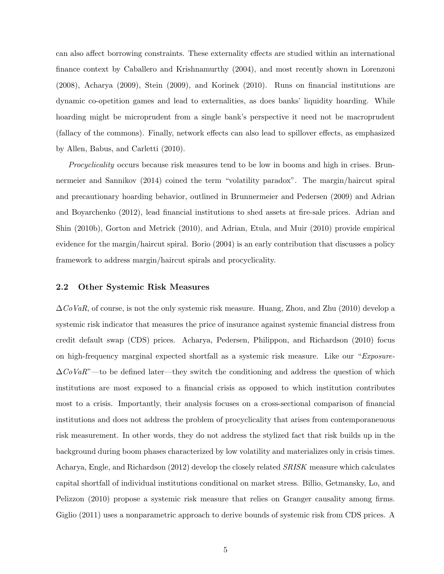can also affect borrowing constraints. These externality effects are studied within an international finance context by Caballero and Krishnamurthy (2004), and most recently shown in Lorenzoni (2008), Acharya (2009), Stein (2009), and Korinek (2010). Runs on financial institutions are dynamic co-opetition games and lead to externalities, as does banks' liquidity hoarding. While hoarding might be microprudent from a single bank's perspective it need not be macroprudent (fallacy of the commons). Finally, network effects can also lead to spillover effects, as emphasized by Allen, Babus, and Carletti (2010).

Procyclicality occurs because risk measures tend to be low in booms and high in crises. Brunnermeier and Sannikov (2014) coined the term "volatility paradox". The margin/haircut spiral and precautionary hoarding behavior, outlined in Brunnermeier and Pedersen (2009) and Adrian and Boyarchenko (2012), lead financial institutions to shed assets at fire-sale prices. Adrian and Shin (2010b), Gorton and Metrick (2010), and Adrian, Etula, and Muir (2010) provide empirical evidence for the margin/haircut spiral. Borio (2004) is an early contribution that discusses a policy framework to address margin/haircut spirals and procyclicality.

### 2.2 Other Systemic Risk Measures

 $\Delta CoVaR$ , of course, is not the only systemic risk measure. Huang, Zhou, and Zhu (2010) develop a systemic risk indicator that measures the price of insurance against systemic financial distress from credit default swap (CDS) prices. Acharya, Pedersen, Philippon, and Richardson (2010) focus on high-frequency marginal expected shortfall as a systemic risk measure. Like our "*Exposure-* $\Delta CoVaR$ "—to be defined later—they switch the conditioning and address the question of which institutions are most exposed to a financial crisis as opposed to which institution contributes most to a crisis. Importantly, their analysis focuses on a cross-sectional comparison of financial institutions and does not address the problem of procyclicality that arises from contemporaneuous risk measurement. In other words, they do not address the stylized fact that risk builds up in the background during boom phases characterized by low volatility and materializes only in crisis times. Acharya, Engle, and Richardson (2012) develop the closely related SRISK measure which calculates capital shortfall of individual institutions conditional on market stress. Billio, Getmansky, Lo, and Pelizzon (2010) propose a systemic risk measure that relies on Granger causality among firms. Giglio (2011) uses a nonparametric approach to derive bounds of systemic risk from CDS prices. A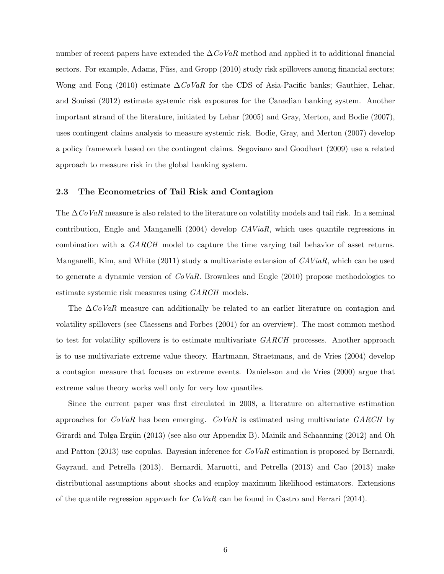number of recent papers have extended the  $\Delta CoVaR$  method and applied it to additional financial sectors. For example, Adams, Füss, and Gropp (2010) study risk spillovers among financial sectors; Wong and Fong (2010) estimate  $\Delta \cos N aR$  for the CDS of Asia-Pacific banks; Gauthier, Lehar, and Souissi (2012) estimate systemic risk exposures for the Canadian banking system. Another important strand of the literature, initiated by Lehar (2005) and Gray, Merton, and Bodie (2007), uses contingent claims analysis to measure systemic risk. Bodie, Gray, and Merton (2007) develop a policy framework based on the contingent claims. Segoviano and Goodhart (2009) use a related approach to measure risk in the global banking system.

### 2.3 The Econometrics of Tail Risk and Contagion

The  $\Delta$ CoVaR measure is also related to the literature on volatility models and tail risk. In a seminal contribution, Engle and Manganelli (2004) develop CAViaR, which uses quantile regressions in combination with a GARCH model to capture the time varying tail behavior of asset returns. Manganelli, Kim, and White  $(2011)$  study a multivariate extension of  $CAViaR$ , which can be used to generate a dynamic version of  $CoVaR$ . Brownlees and Engle (2010) propose methodologies to estimate systemic risk measures using GARCH models.

The  $\Delta$ CoVaR measure can additionally be related to an earlier literature on contagion and volatility spillovers (see Claessens and Forbes (2001) for an overview). The most common method to test for volatility spillovers is to estimate multivariate  $GARCH$  processes. Another approach is to use multivariate extreme value theory. Hartmann, Straetmans, and de Vries (2004) develop a contagion measure that focuses on extreme events. Danielsson and de Vries (2000) argue that extreme value theory works well only for very low quantiles.

Since the current paper was first circulated in 2008, a literature on alternative estimation approaches for  $CoVaR$  has been emerging.  $CoVaR$  is estimated using multivariate  $GARCH$  by Girardi and Tolga Ergün (2013) (see also our Appendix B). Mainik and Schaanning (2012) and Oh and Patton (2013) use copulas. Bayesian inference for  $CoVaR$  estimation is proposed by Bernardi, Gayraud, and Petrella (2013). Bernardi, Maruotti, and Petrella (2013) and Cao (2013) make distributional assumptions about shocks and employ maximum likelihood estimators. Extensions of the quantile regression approach for  $CoVaR$  can be found in Castro and Ferrari (2014).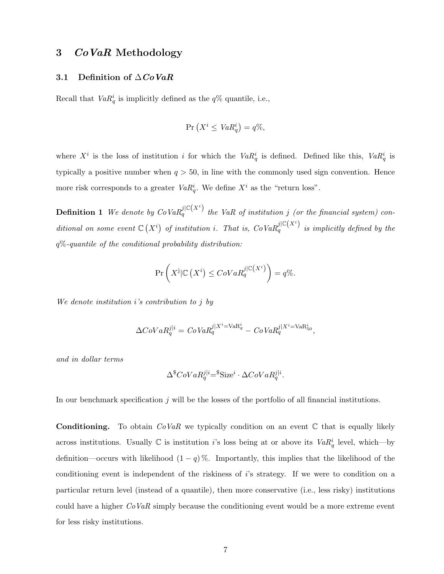### 3 CoVaR Methodology

### 3.1 Definition of  $\triangle CoVaR$

Recall that  $VaR^i_q$  is implicitly defined as the  $q\%$  quantile, i.e.,

$$
\Pr\left(X^i \leq VaR_q^i\right) = q\%,
$$

where  $X^i$  is the loss of institution i for which the  $VaR^i_q$  is defined. Defined like this,  $VaR^i_q$  is typically a positive number when  $q > 50$ , in line with the commonly used sign convention. Hence more risk corresponds to a greater  $VaR_q^i$ . We define  $X^i$  as the "return loss".

**Definition 1** We denote by  $CoVaR_q^{j|C(X^i)}$  the VaR of institution j (or the financial system) conditional on some event  $\mathbb{C}(X^i)$  of institution i. That is,  $CoVaR_q^{j|C(X^i)}$  is implicitly defined by the  $q\%$ -quantile of the conditional probability distribution:

$$
\Pr\left(X^{\mathbf{j}}|\mathbb{C}\left(X^i\right)\leq C oVaR_q^{j|\mathbb{C}\left(X^i\right)}\right)=q\%.
$$

We denote institution i's contribution to j by

$$
\Delta CoVaR_{q}^{j|i} = CoVaR_{q}^{j|X^{i}=\text{VaR}_{q}^{i}} - CoVaR_{q}^{j|X^{i}=\text{VaR}_{50}^{i}},
$$

and in dollar terms

$$
\Delta^{\$}CoVaR^{j|i}_{q} = ^{\$}Size^{i} \cdot \Delta CoVaR^{j|i}_{q}.
$$

In our benchmark specification  $j$  will be the losses of the portfolio of all financial institutions.

**Conditioning.** To obtain  $CoVaR$  we typically condition on an event  $\mathbb C$  that is equally likely across institutions. Usually  $\mathbb C$  is institution *i*'s loss being at or above its  $VaR^i_q$  level, which—by definition—occurs with likelihood  $(1 - q)$ %. Importantly, this implies that the likelihood of the conditioning event is independent of the riskiness of i's strategy. If we were to condition on a particular return level (instead of a quantile), then more conservative (i.e., less risky) institutions could have a higher  $CoVaR$  simply because the conditioning event would be a more extreme event for less risky institutions.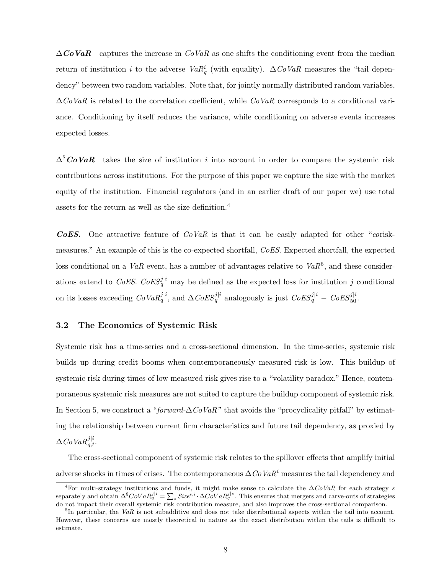$\Delta \mathbf{CoVaR}$  captures the increase in  $CoVaR$  as one shifts the conditioning event from the median return of institution i to the adverse  $VaR_q^i$  (with equality).  $\Delta CoVaR$  measures the "tail dependency" between two random variables. Note that, for jointly normally distributed random variables,  $\Delta CoVaR$  is related to the correlation coefficient, while  $CoVaR$  corresponds to a conditional variance. Conditioning by itself reduces the variance, while conditioning on adverse events increases expected losses.

 $\Delta^{\$}$ CoVaR takes the size of institution i into account in order to compare the systemic risk contributions across institutions. For the purpose of this paper we capture the size with the market equity of the institution. Financial regulators (and in an earlier draft of our paper we) use total assets for the return as well as the size definition.<sup>4</sup>

**COES.** One attractive feature of  $CoVaR$  is that it can be easily adapted for other "coriskmeasures." An example of this is the co-expected shortfall, CoES. Expected shortfall, the expected loss conditional on a VaR event, has a number of advantages relative to  $VaR^5$ , and these considerations extend to CoES. CoES<sup>j|i</sup> may be defined as the expected loss for institution j conditional on its losses exceeding  $CoVaR_q^{j|i}$ , and  $\Delta CoES_q^{j|i}$  analogously is just  $CoES_q^{j|i} - CoES_{50}^{j|i}$ .

### 3.2 The Economics of Systemic Risk

Systemic risk has a time-series and a cross-sectional dimension. In the time-series, systemic risk builds up during credit booms when contemporaneously measured risk is low. This buildup of systemic risk during times of low measured risk gives rise to a "volatility paradox." Hence, contemporaneous systemic risk measures are not suited to capture the buildup component of systemic risk. In Section 5, we construct a "forward- $\Delta CoVaR$ " that avoids the "procyclicality pitfall" by estimating the relationship between current firm characteristics and future tail dependency, as proxied by  $\Delta$ CoVa $R_{q,t}^{j|i}$ .

The cross-sectional component of systemic risk relates to the spillover effects that amplify initial adverse shocks in times of crises. The contemporaneous  $\Delta C_0 VaR^i$  measures the tail dependency and

<sup>&</sup>lt;sup>4</sup>For multi-strategy institutions and funds, it might make sense to calculate the  $\Delta CoVaR$  for each strategy s separately and obtain  $\Delta^8 \text{CoVaR}_q^{j|i} = \sum_s Size^{s,i} \cdot \Delta \text{CoVaR}_q^{j|s}$ . This ensures that mergers and carve-outs of strategies do not impact their overall systemic risk contribution measure, and also improves the cross-sectional comparison.

 ${}^{5}$ In particular, the VaR is not subadditive and does not take distributional aspects within the tail into account. However, these concerns are mostly theoretical in nature as the exact distribution within the tails is difficult to estimate.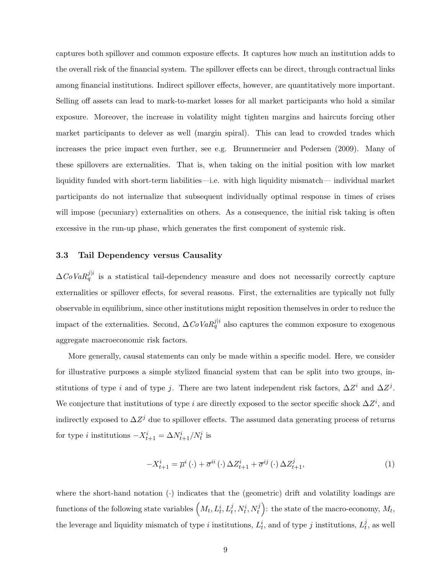captures both spillover and common exposure effects. It captures how much an institution adds to the overall risk of the financial system. The spillover effects can be direct, through contractual links among financial institutions. Indirect spillover effects, however, are quantitatively more important. Selling off assets can lead to mark-to-market losses for all market participants who hold a similar exposure. Moreover, the increase in volatility might tighten margins and haircuts forcing other market participants to delever as well (margin spiral). This can lead to crowded trades which increases the price impact even further, see e.g. Brunnermeier and Pedersen (2009). Many of these spillovers are externalities. That is, when taking on the initial position with low market liquidity funded with short-term liabilities—i.e. with high liquidity mismatch— individual market participants do not internalize that subsequent individually optimal response in times of crises will impose (pecuniary) externalities on others. As a consequence, the initial risk taking is often excessive in the run-up phase, which generates the first component of systemic risk.

### 3.3 Tail Dependency versus Causality

 $\Delta CoVaRq^{j|i}$  is a statistical tail-dependency measure and does not necessarily correctly capture externalities or spillover effects, for several reasons. First, the externalities are typically not fully observable in equilibrium, since other institutions might reposition themselves in order to reduce the impact of the externalities. Second,  $\Delta CoVaRq^{j|i}$  also captures the common exposure to exogenous aggregate macroeconomic risk factors.

More generally, causal statements can only be made within a specific model. Here, we consider for illustrative purposes a simple stylized financial system that can be split into two groups, institutions of type i and of type j. There are two latent independent risk factors,  $\Delta Z^i$  and  $\Delta Z^j$ . We conjecture that institutions of type i are directly exposed to the sector specific shock  $\Delta Z^i$ , and indirectly exposed to  $\Delta Z^j$  due to spillover effects. The assumed data generating process of returns for type *i* institutions  $-X_{t+1}^i = \Delta N_{t+1}^i / N_t^i$  is

$$
-X_{t+1}^{i} = \overline{\mu}^{i}(\cdot) + \overline{\sigma}^{ii}(\cdot) \Delta Z_{t+1}^{i} + \overline{\sigma}^{ij}(\cdot) \Delta Z_{t+1}^{j}, \qquad (1)
$$

where the short-hand notation  $\langle \cdot \rangle$  indicates that the (geometric) drift and volatility loadings are functions of the following state variables  $\left(M_t, L_t^i, L_t^j, N_t^i, N_t^j\right)$ : the state of the macro-economy,  $M_t$ , the leverage and liquidity mismatch of type *i* institutions,  $L_t^i$ , and of type *j* institutions,  $L_t^j$  $t^j$ , as well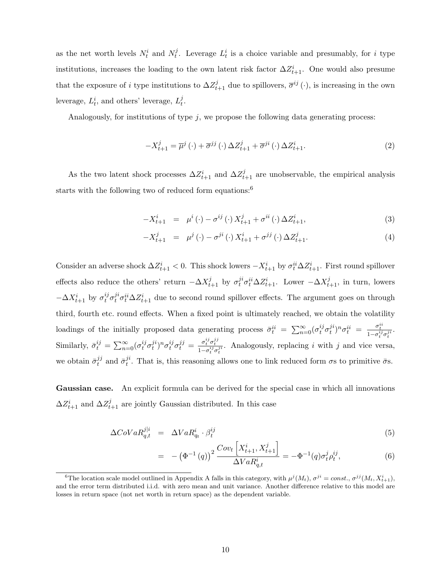as the net worth levels  $N_t^i$  and  $N_t^j$  $t_t^j$ . Leverage  $L_t^i$  is a choice variable and presumably, for i type institutions, increases the loading to the own latent risk factor  $\Delta Z_{t+1}^i$ . One would also presume that the exposure of i type institutions to  $\Delta Z_{t+1}^j$  due to spillovers,  $\overline{\sigma}^{ij}(\cdot)$ , is increasing in the own leverage,  $L_t^i$ , and others' leverage,  $L_t^j$  $_t^j$ .

Analogously, for institutions of type  $j$ , we propose the following data generating process:

$$
-X_{t+1}^{j} = \overline{\mu}^{j}(\cdot) + \overline{\sigma}^{jj}(\cdot) \Delta Z_{t+1}^{j} + \overline{\sigma}^{ji}(\cdot) \Delta Z_{t+1}^{i}.
$$
\n
$$
(2)
$$

As the two latent shock processes  $\Delta Z_{t+1}^i$  and  $\Delta Z_{t+1}^j$  are unobservable, the empirical analysis starts with the following two of reduced form equations:<sup>6</sup>

$$
-X_{t+1}^{i} = \mu^{i}(\cdot) - \sigma^{ij}(\cdot) X_{t+1}^{j} + \sigma^{ii}(\cdot) \Delta Z_{t+1}^{i}, \qquad (3)
$$

$$
-X_{t+1}^{j} = \mu^{j}(\cdot) - \sigma^{ji}(\cdot) X_{t+1}^{i} + \sigma^{jj}(\cdot) \Delta Z_{t+1}^{j}.
$$
 (4)

Consider an adverse shock  $\Delta Z_{t+1}^i < 0$ . This shock lowers  $-X_{t+1}^i$  by  $\sigma_t^{ii} \Delta Z_{t+1}^i$ . First round spillover effects also reduce the others' return  $-\Delta X_{t+1}^j$  by  $\sigma_t^{ji}\sigma_t^{ii}\Delta Z_{t+1}^i$ . Lower  $-\Delta X_{t+1}^j$ , in turn, lowers  $-\Delta X^i_{t+1}$  by  $\sigma_t^{ij}\sigma_t^{ji}\sigma_t^{ii}\Delta Z^i_{t+1}$  due to second round spillover effects. The argument goes on through third, fourth etc. round effects. When a fixed point is ultimately reached, we obtain the volatility loadings of the initially proposed data generating process  $\bar{\sigma}_t^{ii} = \sum_{n=0}^{\infty} (\sigma_t^{ij} \sigma_t^{ji})$  $j^i)^n\sigma^{ii}_t ~=~ \frac{\sigma^{ii}_t}{1-\sigma^{ij}_t\sigma^{ji}_t}.$ t Similarly,  $\bar{\sigma}_t^{ij} = \sum_{n=0}^{\infty} (\sigma_t^{ij} \sigma_t^{ji})$  $j^i n_j \sigma_t^{ij} \sigma_t^{jj} = \frac{\sigma_t^{ij} \sigma_t^{jj}}{1 - \sigma_t^{ij} \sigma_t^{ji}}$ . Analogously, replacing i with j and vice versa, we obtain  $\bar{\sigma}^{jj}_{t}$  $i_j^{jj}$  and  $\bar{\sigma}_t^{ji}$  $t<sup>i</sup>$ . That is, this reasoning allows one to link reduced form  $\sigma$ s to primitive  $\bar{\sigma}$ s.

Gaussian case. An explicit formula can be derived for the special case in which all innovations  $\Delta Z_{t+1}^i$  and  $\Delta Z_{t+1}^j$  are jointly Gaussian distributed. In this case

$$
\Delta CoVaR_{q,t}^{j|i} = \Delta VaR_{q_t}^i \cdot \beta_t^{ij} \tag{5}
$$

$$
= -(\Phi^{-1}(q))^2 \frac{Cov_t \left[ X_{t+1}^i, X_{t+1}^j \right]}{\Delta VaR_{q,t}^i} = -\Phi^{-1}(q)\sigma_t^j \rho_t^{ij}, \tag{6}
$$

<sup>&</sup>lt;sup>6</sup>The location scale model outlined in Appendix A falls in this category, with  $\mu^{j}(M_t)$ ,  $\sigma^{ji} = const.$ ,  $\sigma^{jj}(M_t, X_{t+1}^i)$ , and the error term distributed i.i.d. with zero mean and unit variance. Another difference relative to this model are losses in return space (not net worth in return space) as the dependent variable.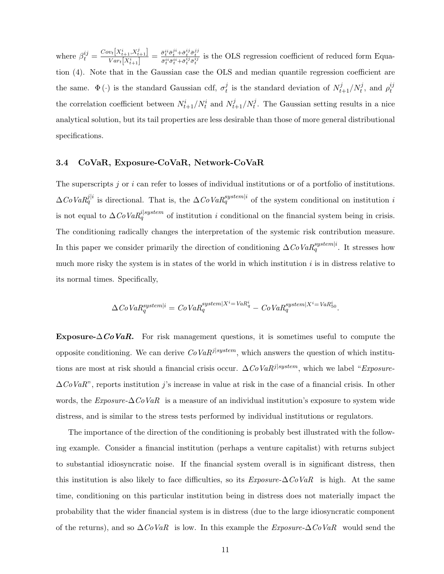where  $\beta_t^{ij} = \frac{Cov_t[X_{t+1}^i, X_{t+1}^j]}{Var_t[X_{t+1}^i]}$  $\frac{v_t[X_{t+1}^i, X_{t+1}^j]}{v_{att}[X_{t+1}^i]} = \frac{\bar{\sigma}_t^{ii} \bar{\sigma}_t^{ji} + \bar{\sigma}_t^{ij} \bar{\sigma}_t^{jj}}{\bar{\sigma}_t^{ii} \bar{\sigma}_t^{ii} + \bar{\sigma}_t^{ij} \bar{\sigma}_t^{ij}}$  is the OLS regression coefficient of reduced form Equation (4). Note that in the Gaussian case the OLS and median quantile regression coefficient are the same.  $\Phi(\cdot)$  is the standard Gaussian cdf,  $\sigma_t^j$  $t_t^j$  is the standard deviation of  $N_{t+1}^j/N_t^j$ , and  $\rho_t^{ij}$ t the correlation coefficient between  $N_{t+1}^i/N_t^i$  and  $N_{t+1}^j/N_t^j$ . The Gaussian setting results in a nice analytical solution, but its tail properties are less desirable than those of more general distributional specifications.

### 3.4 CoVaR, Exposure-CoVaR, Network-CoVaR

The superscripts  $j$  or  $i$  can refer to losses of individual institutions or of a portfolio of institutions.  $\Delta CoVaRqj}^{j|i}$  is directional. That is, the  $\Delta CoVaRq^{system|i}$  of the system conditional on institution i is not equal to  $\Delta CoVaRq^{i|system}$  of institution i conditional on the financial system being in crisis. The conditioning radically changes the interpretation of the systemic risk contribution measure. In this paper we consider primarily the direction of conditioning  $\Delta CoVaR_q^{system|i}$ . It stresses how much more risky the system is in states of the world in which institution  $i$  is in distress relative to its normal times. Specifically,

$$
\Delta CoVaR_q^{system|i} = CoVaR_q^{system|X^i = VaR_q^i} - CoVaR_q^{system|X^i = VaR_{50}^i}.
$$

**Exposure-** $\Delta \mathbf{CoVaR}$ . For risk management questions, it is sometimes useful to compute the opposite conditioning. We can derive  $CoVaR^{j|system}$ , which answers the question of which institutions are most at risk should a financial crisis occur.  $\Delta CoVaR^{j|system}$ , which we label "Exposure- $\Delta CoVaR$ ", reports institution j's increase in value at risk in the case of a financial crisis. In other words, the  $Exposure-\Delta CoVaR$  is a measure of an individual institution's exposure to system wide distress, and is similar to the stress tests performed by individual institutions or regulators.

The importance of the direction of the conditioning is probably best illustrated with the following example. Consider a financial institution (perhaps a venture capitalist) with returns subject to substantial idiosyncratic noise. If the financial system overall is in significant distress, then this institution is also likely to face difficulties, so its  $Exposure-\Delta CoVaR$  is high. At the same time, conditioning on this particular institution being in distress does not materially impact the probability that the wider financial system is in distress (due to the large idiosyncratic component of the returns), and so  $\Delta \text{CoVaR}$  is low. In this example the *Exposure-* $\Delta \text{CoVaR}$  would send the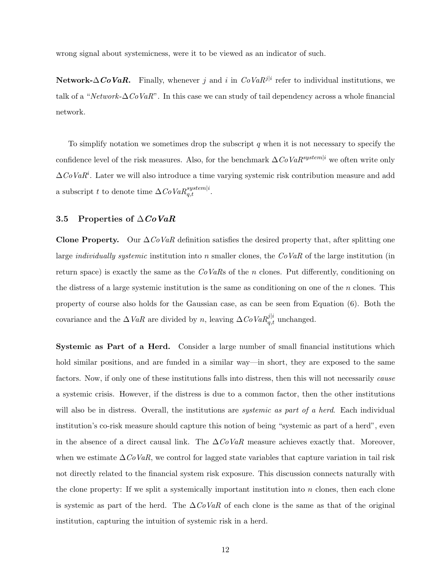wrong signal about systemicness, were it to be viewed as an indicator of such.

Network- $\Delta \mathbf{CoVaR}$ . Finally, whenever j and i in  $CoVaR^{j|i}$  refer to individual institutions, we talk of a "Network- $\Delta CoVaR$ ". In this case we can study of tail dependency across a whole financial network.

To simplify notation we sometimes drop the subscript  $q$  when it is not necessary to specify the confidence level of the risk measures. Also, for the benchmark  $\Delta CoVaR^{system|i}$  we often write only  $\Delta CoVaR^i$ . Later we will also introduce a time varying systemic risk contribution measure and add a subscript t to denote time  $\Delta CoVaR_{q,t}^{system|i}$ .

### 3.5 Properties of  $\triangle CoVaR$

Clone Property. Our  $\Delta CoVaR$  definition satisfies the desired property that, after splitting one large *individually systemic* institution into n smaller clones, the  $CoVaR$  of the large institution (in return space) is exactly the same as the  $CoVaRs$  of the n clones. Put differently, conditioning on the distress of a large systemic institution is the same as conditioning on one of the  $n$  clones. This property of course also holds for the Gaussian case, as can be seen from Equation (6). Both the covariance and the  $\Delta VaR$  are divided by n, leaving  $\Delta CoVaR_{q,t}^{j|i}$  unchanged.

Systemic as Part of a Herd. Consider a large number of small financial institutions which hold similar positions, and are funded in a similar way—in short, they are exposed to the same factors. Now, if only one of these institutions falls into distress, then this will not necessarily *cause* a systemic crisis. However, if the distress is due to a common factor, then the other institutions will also be in distress. Overall, the institutions are *systemic as part of a herd*. Each individual institution's co-risk measure should capture this notion of being "systemic as part of a herd", even in the absence of a direct causal link. The  $\Delta \textit{CoVaR}$  measure achieves exactly that. Moreover, when we estimate  $\Delta CoVaR$ , we control for lagged state variables that capture variation in tail risk not directly related to the financial system risk exposure. This discussion connects naturally with the clone property: If we split a systemically important institution into  $n$  clones, then each clone is systemic as part of the herd. The  $\Delta \textit{CoVaR}$  of each clone is the same as that of the original institution, capturing the intuition of systemic risk in a herd.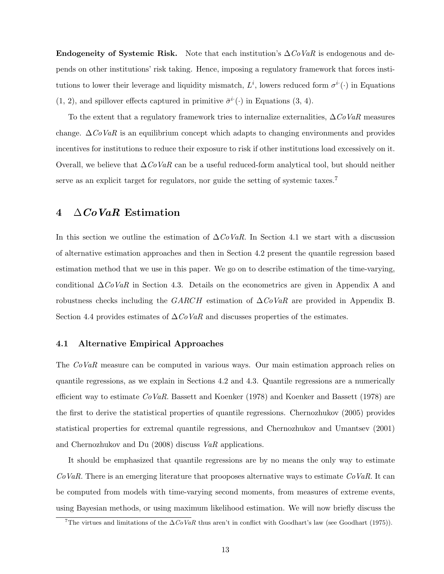**Endogeneity of Systemic Risk.** Note that each institution's  $\Delta \textit{CoVaR}$  is endogenous and depends on other institutions' risk taking. Hence, imposing a regulatory framework that forces institutions to lower their leverage and liquidity mismatch,  $L^i$ , lowers reduced form  $\sigma^i(\cdot)$  in Equations  $(1, 2)$ , and spillover effects captured in primitive  $\bar{\sigma}^i(\cdot)$  in Equations  $(3, 4)$ .

To the extent that a regulatory framework tries to internalize externalities,  $\Delta \mathit{CoVaR}$  measures change.  $\Delta \mathcal{C} \circ \mathcal{V} \circ \mathcal{R}$  is an equilibrium concept which adapts to changing environments and provides incentives for institutions to reduce their exposure to risk if other institutions load excessively on it. Overall, we believe that  $\Delta \textit{CoVaR}$  can be a useful reduced-form analytical tool, but should neither serve as an explicit target for regulators, nor guide the setting of systemic taxes.<sup>7</sup>

### 4  $\Delta CoVaR$  Estimation

In this section we outline the estimation of  $\Delta CoVaR$ . In Section 4.1 we start with a discussion of alternative estimation approaches and then in Section 4.2 present the quantile regression based estimation method that we use in this paper. We go on to describe estimation of the time-varying, conditional  $\Delta CoVaR$  in Section 4.3. Details on the econometrics are given in Appendix A and robustness checks including the GARCH estimation of  $\Delta CoVaR$  are provided in Appendix B. Section 4.4 provides estimates of  $\Delta CoVaR$  and discusses properties of the estimates.

### 4.1 Alternative Empirical Approaches

The CoVaR measure can be computed in various ways. Our main estimation approach relies on quantile regressions, as we explain in Sections 4.2 and 4.3. Quantile regressions are a numerically efficient way to estimate  $CoVaR$ . Bassett and Koenker (1978) and Koenker and Bassett (1978) are the first to derive the statistical properties of quantile regressions. Chernozhukov (2005) provides statistical properties for extremal quantile regressions, and Chernozhukov and Umantsev (2001) and Chernozhukov and Du  $(2008)$  discuss VaR applications.

It should be emphasized that quantile regressions are by no means the only way to estimate  $CoVaR$ . There is an emerging literature that prooposes alternative ways to estimate  $CoVaR$ . It can be computed from models with time-varying second moments, from measures of extreme events, using Bayesian methods, or using maximum likelihood estimation. We will now briefly discuss the

<sup>&</sup>lt;sup>7</sup>The virtues and limitations of the  $\Delta CoVaR$  thus aren't in conflict with Goodhart's law (see Goodhart (1975)).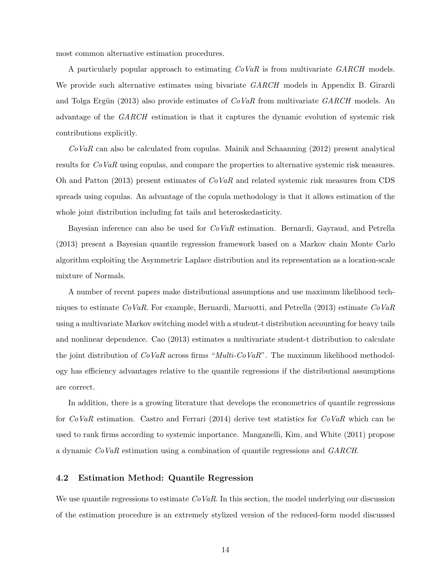most common alternative estimation procedures.

A particularly popular approach to estimating CoVaR is from multivariate GARCH models. We provide such alternative estimates using bivariate *GARCH* models in Appendix B. Girardi and Tolga Ergün (2013) also provide estimates of  $CoVaR$  from multivariate  $GARCH$  models. An advantage of the GARCH estimation is that it captures the dynamic evolution of systemic risk contributions explicitly.

 $CoVaR$  can also be calculated from copulas. Mainik and Schaanning (2012) present analytical results for  $CoVaR$  using copulas, and compare the properties to alternative systemic risk measures. Oh and Patton (2013) present estimates of  $CoVaR$  and related systemic risk measures from CDS spreads using copulas. An advantage of the copula methodology is that it allows estimation of the whole joint distribution including fat tails and heteroskedasticity.

Bayesian inference can also be used for CoVaR estimation. Bernardi, Gayraud, and Petrella (2013) present a Bayesian quantile regression framework based on a Markov chain Monte Carlo algorithm exploiting the Asymmetric Laplace distribution and its representation as a location-scale mixture of Normals.

A number of recent papers make distributional assumptions and use maximum likelihood techniques to estimate  $CoVaR$ . For example, Bernardi, Maruotti, and Petrella (2013) estimate  $CoVaR$ using a multivariate Markov switching model with a student-t distribution accounting for heavy tails and nonlinear dependence. Cao (2013) estimates a multivariate student-t distribution to calculate the joint distribution of  $CoVaR$  across firms "*Multi-CoVaR*". The maximum likelihood methodology has efficiency advantages relative to the quantile regressions if the distributional assumptions are correct.

In addition, there is a growing literature that develops the econometrics of quantile regressions for  $CoVaR$  estimation. Castro and Ferrari (2014) derive test statistics for  $CoVaR$  which can be used to rank firms according to systemic importance. Manganelli, Kim, and White (2011) propose a dynamic CoVaR estimation using a combination of quantile regressions and GARCH.

### 4.2 Estimation Method: Quantile Regression

We use quantile regressions to estimate  $CoVaR$ . In this section, the model underlying our discussion of the estimation procedure is an extremely stylized version of the reduced-form model discussed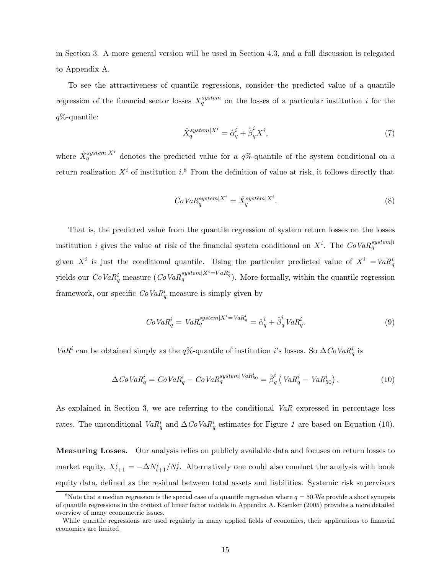in Section 3. A more general version will be used in Section 4.3, and a full discussion is relegated to Appendix A.

To see the attractiveness of quantile regressions, consider the predicted value of a quantile regression of the financial sector losses  $X_q^{system}$  on the losses of a particular institution i for the  $q\%$ -quantile:

$$
\hat{X}_q^{system|X^i} = \hat{\alpha}_q^i + \hat{\beta}_q^i X^i,\tag{7}
$$

where  $\hat{X}_q^{system|X^i}$  denotes the predicted value for a  $q\%$ -quantile of the system conditional on a return realization  $X^i$  of institution i.<sup>8</sup> From the definition of value at risk, it follows directly that

$$
CoVaR_q^{system|X^i} = \hat{X}_q^{system|X^i}.
$$
\n
$$
(8)
$$

That is, the predicted value from the quantile regression of system return losses on the losses institution *i* gives the value at risk of the financial system conditional on  $X^i$ . The  $CoVaR_q^{system|i}$ given  $X^i$  is just the conditional quantile. Using the particular predicted value of  $X^i = VaR^i_q$ yields our  $CoVaR_q^i$  measure  $(CoVaR_q^{system|X^i=VaR_q^i})$ . More formally, within the quantile regression framework, our specific  $CoVaR_q^i$  measure is simply given by

$$
CoVaR_q^i = VaR_q^{system|X^i = VaR_q^i} = \hat{\alpha}_q^i + \hat{\beta}_q^i VaR_q^i.
$$
\n
$$
(9)
$$

VaR<sup>i</sup> can be obtained simply as the q%-quantile of institution i's losses. So  $\Delta CoVaR^i_q$  is

$$
\Delta CoVaR_q^i = CoVaR_q^i - CoVaR_q^{system|VaR_{50}^i} = \hat{\beta}_q^i \left( VaR_q^i - VaR_{50}^i \right). \tag{10}
$$

As explained in Section 3, we are referring to the conditional  $VaR$  expressed in percentage loss rates. The unconditional  $VaR_q^i$  and  $\Delta CoVaR_q^i$  estimates for Figure 1 are based on Equation (10).

Measuring Losses. Our analysis relies on publicly available data and focuses on return losses to market equity,  $X_{t+1}^i = -\Delta N_{t+1}^i/N_t^i$ . Alternatively one could also conduct the analysis with book equity data, defined as the residual between total assets and liabilities. Systemic risk supervisors

<sup>&</sup>lt;sup>8</sup>Note that a median regression is the special case of a quantile regression where  $q = 50$ . We provide a short synopsis of quantile regressions in the context of linear factor models in Appendix A. Koenker (2005) provides a more detailed overview of many econometric issues.

While quantile regressions are used regularly in many applied fields of economics, their applications to financial economics are limited.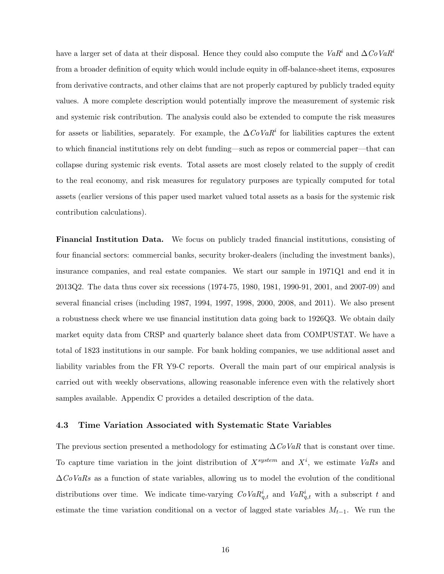have a larger set of data at their disposal. Hence they could also compute the Va $R^i$  and  $\Delta Co$ Va $R^i$ from a broader definition of equity which would include equity in off-balance-sheet items, exposures from derivative contracts, and other claims that are not properly captured by publicly traded equity values. A more complete description would potentially improve the measurement of systemic risk and systemic risk contribution. The analysis could also be extended to compute the risk measures for assets or liabilities, separately. For example, the  $\Delta CoVaR<sup>i</sup>$  for liabilities captures the extent to which financial institutions rely on debt funding—such as repos or commercial paper—that can collapse during systemic risk events. Total assets are most closely related to the supply of credit to the real economy, and risk measures for regulatory purposes are typically computed for total assets (earlier versions of this paper used market valued total assets as a basis for the systemic risk contribution calculations).

Financial Institution Data. We focus on publicly traded financial institutions, consisting of four financial sectors: commercial banks, security broker-dealers (including the investment banks), insurance companies, and real estate companies. We start our sample in 1971Q1 and end it in 2013Q2. The data thus cover six recessions (1974-75, 1980, 1981, 1990-91, 2001, and 2007-09) and several financial crises (including 1987, 1994, 1997, 1998, 2000, 2008, and 2011). We also present a robustness check where we use financial institution data going back to 1926Q3. We obtain daily market equity data from CRSP and quarterly balance sheet data from COMPUSTAT. We have a total of 1823 institutions in our sample. For bank holding companies, we use additional asset and liability variables from the FR Y9-C reports. Overall the main part of our empirical analysis is carried out with weekly observations, allowing reasonable inference even with the relatively short samples available. Appendix C provides a detailed description of the data.

### 4.3 Time Variation Associated with Systematic State Variables

The previous section presented a methodology for estimating  $\Delta \mathit{CoVaR}$  that is constant over time. To capture time variation in the joint distribution of  $X^{system}$  and  $X^i$ , we estimate VaRs and  $\Delta CoVaRs$  as a function of state variables, allowing us to model the evolution of the conditional distributions over time. We indicate time-varying  $CoVaR_{q,t}^i$  and  $VaR_{q,t}^i$  with a subscript t and estimate the time variation conditional on a vector of lagged state variables  $M_{t-1}$ . We run the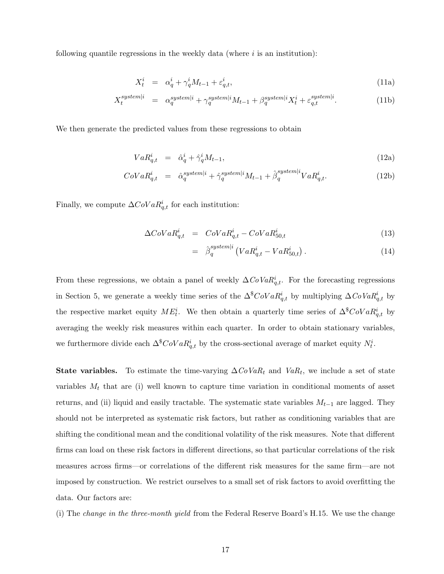following quantile regressions in the weekly data (where  $i$  is an institution):

$$
X_t^i = \alpha_q^i + \gamma_q^i M_{t-1} + \varepsilon_{q,t}^i,\tag{11a}
$$

$$
X_t^{\text{system}|i} = \alpha_q^{\text{system}|i} + \gamma_q^{\text{system}|i} M_{t-1} + \beta_q^{\text{system}|i} X_t^i + \varepsilon_{q,t}^{\text{system}|i}.
$$
 (11b)

We then generate the predicted values from these regressions to obtain

$$
VaR_{q,t}^i = \hat{\alpha}_q^i + \hat{\gamma}_q^i M_{t-1},\tag{12a}
$$

$$
CoVaR_{q,t}^i = \hat{\alpha}_q^{system|i} + \hat{\gamma}_q^{system|i}M_{t-1} + \hat{\beta}_q^{system|i}VaR_{q,t}^i.
$$
 (12b)

Finally, we compute  $\Delta CoVaR_{q,t}^i$  for each institution:

$$
\Delta CoVaR_{q,t}^i = CoVaR_{q,t}^i - CoVaR_{50,t}^i \tag{13}
$$

$$
= \hat{\beta}_q^{system|i} \left( VaR^i_{q,t} - VaR^i_{50,t} \right). \tag{14}
$$

From these regressions, we obtain a panel of weekly  $\Delta CoVaR^i_{q,t}$ . For the forecasting regressions in Section 5, we generate a weekly time series of the  $\Delta^{\$}CoVaR^i_{q,t}$  by multiplying  $\Delta CoVaR^i_{q,t}$  by the respective market equity  $ME_i^i$ . We then obtain a quarterly time series of  $\Delta^S$ CoVa $R_{q,t}^i$  by averaging the weekly risk measures within each quarter. In order to obtain stationary variables, we furthermore divide each  $\Delta^{\$}CoVaR^i_{q,t}$  by the cross-sectional average of market equity  $N^i_t$ .

**State variables.** To estimate the time-varying  $\Delta CoVaR_t$  and  $VaR_t$ , we include a set of state variables  $M_t$  that are (i) well known to capture time variation in conditional moments of asset returns, and (ii) liquid and easily tractable. The systematic state variables  $M_{t-1}$  are lagged. They should not be interpreted as systematic risk factors, but rather as conditioning variables that are shifting the conditional mean and the conditional volatility of the risk measures. Note that different firms can load on these risk factors in different directions, so that particular correlations of the risk measures across firms—or correlations of the different risk measures for the same firm—are not imposed by construction. We restrict ourselves to a small set of risk factors to avoid overfitting the data. Our factors are:

(i) The change in the three-month yield from the Federal Reserve Board's H.15. We use the change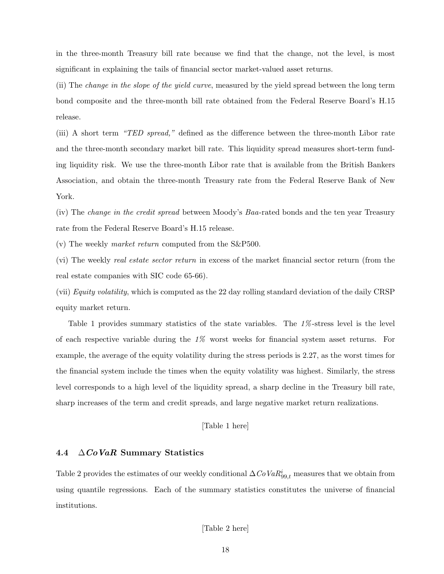in the three-month Treasury bill rate because we find that the change, not the level, is most significant in explaining the tails of financial sector market-valued asset returns.

(ii) The change in the slope of the yield curve, measured by the yield spread between the long term bond composite and the three-month bill rate obtained from the Federal Reserve Board's H.15 release.

(iii) A short term "TED spread," defined as the difference between the three-month Libor rate and the three-month secondary market bill rate. This liquidity spread measures short-term funding liquidity risk. We use the three-month Libor rate that is available from the British Bankers Association, and obtain the three-month Treasury rate from the Federal Reserve Bank of New York.

(iv) The change in the credit spread between Moody's Baa-rated bonds and the ten year Treasury rate from the Federal Reserve Board's H.15 release.

(v) The weekly *market return* computed from the  $S\&P500$ .

(vi) The weekly real estate sector return in excess of the market financial sector return (from the real estate companies with SIC code 65-66).

(vii) Equity volatility, which is computed as the 22 day rolling standard deviation of the daily CRSP equity market return.

Table 1 provides summary statistics of the state variables. The  $1\%$ -stress level is the level of each respective variable during the  $1\%$  worst weeks for financial system asset returns. For example, the average of the equity volatility during the stress periods is 2.27, as the worst times for the financial system include the times when the equity volatility was highest. Similarly, the stress level corresponds to a high level of the liquidity spread, a sharp decline in the Treasury bill rate, sharp increases of the term and credit spreads, and large negative market return realizations.

### [Table 1 here]

### 4.4  $\Delta CoVaR$  Summary Statistics

Table 2 provides the estimates of our weekly conditional  $\Delta CoVaR_{99,t}^{i}$  measures that we obtain from using quantile regressions. Each of the summary statistics constitutes the universe of financial institutions.

#### [Table 2 here]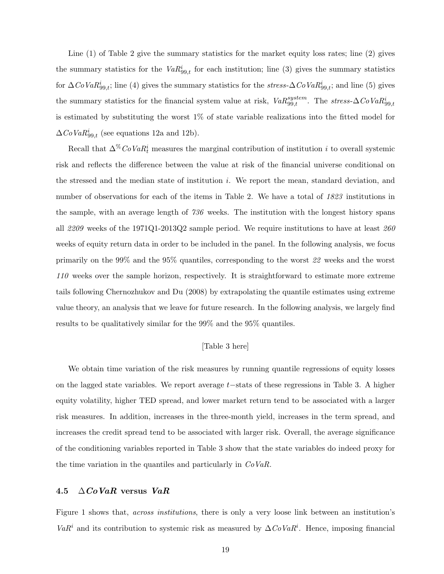Line (1) of Table 2 give the summary statistics for the market equity loss rates; line (2) gives the summary statistics for the  $VaR_{99,t}^i$  for each institution; line (3) gives the summary statistics for  $\Delta CoVaR_{99,t}^i$ ; line (4) gives the summary statistics for the stress- $\Delta CoVaR_{99,t}^i$ ; and line (5) gives the summary statistics for the financial system value at risk,  $VaR_{99,t}^{system}$ . The  $stress-\Delta CoVaR_{99,t}^{i}$ is estimated by substituting the worst 1% of state variable realizations into the fitted model for  $\Delta CoVaR_{99,t}^{i}$  (see equations 12a and 12b).

Recall that  $\Delta^{\%}$  CoVa $R_t^i$  measures the marginal contribution of institution i to overall systemic risk and reflects the difference between the value at risk of the financial universe conditional on the stressed and the median state of institution i. We report the mean, standard deviation, and number of observations for each of the items in Table 2. We have a total of 1823 institutions in the sample, with an average length of 736 weeks. The institution with the longest history spans all 2209 weeks of the 1971Q1-2013Q2 sample period. We require institutions to have at least  $260$ weeks of equity return data in order to be included in the panel. In the following analysis, we focus primarily on the 99% and the 95% quantiles, corresponding to the worst 22 weeks and the worst 110 weeks over the sample horizon, respectively. It is straightforward to estimate more extreme tails following Chernozhukov and Du (2008) by extrapolating the quantile estimates using extreme value theory, an analysis that we leave for future research. In the following analysis, we largely find results to be qualitatively similar for the 99% and the 95% quantiles.

### [Table 3 here]

We obtain time variation of the risk measures by running quantile regressions of equity losses on the lagged state variables. We report average t−stats of these regressions in Table 3. A higher equity volatility, higher TED spread, and lower market return tend to be associated with a larger risk measures. In addition, increases in the three-month yield, increases in the term spread, and increases the credit spread tend to be associated with larger risk. Overall, the average significance of the conditioning variables reported in Table 3 show that the state variables do indeed proxy for the time variation in the quantiles and particularly in  $CoVaR$ .

### 4.5  $\Delta CoVaR$  versus  $VaR$

Figure 1 shows that, *across institutions*, there is only a very loose link between an institution's VaR<sup>i</sup> and its contribution to systemic risk as measured by  $\Delta CoVaR^i$ . Hence, imposing financial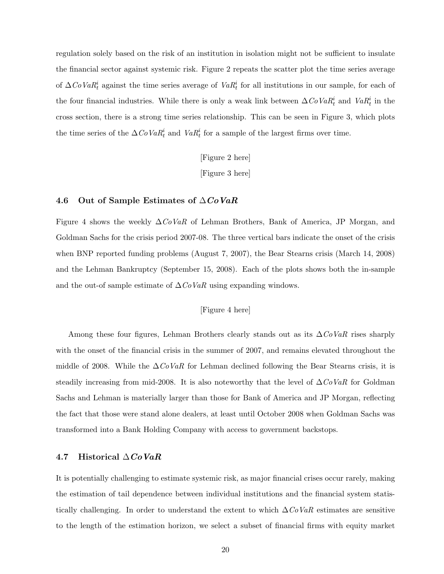regulation solely based on the risk of an institution in isolation might not be sufficient to insulate the financial sector against systemic risk. Figure 2 repeats the scatter plot the time series average of  $\Delta CoVaR_t^i$  against the time series average of  $VaR_t^i$  for all institutions in our sample, for each of the four financial industries. While there is only a weak link between  $\Delta CoVaR_t^i$  and  $VaR_t^i$  in the cross section, there is a strong time series relationship. This can be seen in Figure 3, which plots the time series of the  $\Delta CoVaR_t^i$  and  $VaR_t^i$  for a sample of the largest firms over time.

[Figure 2 here]

[Figure 3 here]

#### 4.6 Out of Sample Estimates of  $\triangle CoVaR$

Figure 4 shows the weekly  $\Delta CoVaR$  of Lehman Brothers, Bank of America, JP Morgan, and Goldman Sachs for the crisis period 2007-08. The three vertical bars indicate the onset of the crisis when BNP reported funding problems (August 7, 2007), the Bear Stearns crisis (March 14, 2008) and the Lehman Bankruptcy (September 15, 2008). Each of the plots shows both the in-sample and the out-of sample estimate of  $\Delta \mathbb{C} \text{o}_R$  using expanding windows.

### [Figure 4 here]

Among these four figures, Lehman Brothers clearly stands out as its  $\Delta CoVaR$  rises sharply with the onset of the financial crisis in the summer of 2007, and remains elevated throughout the middle of 2008. While the  $\Delta \dot{C}oVaR$  for Lehman declined following the Bear Stearns crisis, it is steadily increasing from mid-2008. It is also noteworthy that the level of  $\Delta CoVaR$  for Goldman Sachs and Lehman is materially larger than those for Bank of America and JP Morgan, reflecting the fact that those were stand alone dealers, at least until October 2008 when Goldman Sachs was transformed into a Bank Holding Company with access to government backstops.

#### 4.7 Historical  $\triangle CoVaR$

It is potentially challenging to estimate systemic risk, as major financial crises occur rarely, making the estimation of tail dependence between individual institutions and the financial system statistically challenging. In order to understand the extent to which  $\Delta CoVaR$  estimates are sensitive to the length of the estimation horizon, we select a subset of financial firms with equity market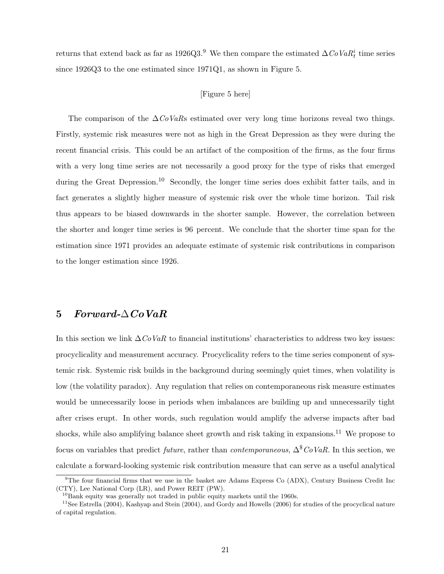returns that extend back as far as 1926Q3.<sup>9</sup> We then compare the estimated  $\Delta CoVaR_t^i$  time series since 1926Q3 to the one estimated since 1971Q1, as shown in Figure 5.

### [Figure 5 here]

The comparison of the  $\Delta CoVaRs$  estimated over very long time horizons reveal two things. Firstly, systemic risk measures were not as high in the Great Depression as they were during the recent financial crisis. This could be an artifact of the composition of the firms, as the four firms with a very long time series are not necessarily a good proxy for the type of risks that emerged during the Great Depression.<sup>10</sup> Secondly, the longer time series does exhibit fatter tails, and in fact generates a slightly higher measure of systemic risk over the whole time horizon. Tail risk thus appears to be biased downwards in the shorter sample. However, the correlation between the shorter and longer time series is 96 percent. We conclude that the shorter time span for the estimation since 1971 provides an adequate estimate of systemic risk contributions in comparison to the longer estimation since 1926.

### $5\quad \, Forward\text{-}\Delta\, Co\,VaR$

In this section we link  $\Delta CoVaR$  to financial institutions' characteristics to address two key issues: procyclicality and measurement accuracy. Procyclicality refers to the time series component of systemic risk. Systemic risk builds in the background during seemingly quiet times, when volatility is low (the volatility paradox). Any regulation that relies on contemporaneous risk measure estimates would be unnecessarily loose in periods when imbalances are building up and unnecessarily tight after crises erupt. In other words, such regulation would amplify the adverse impacts after bad shocks, while also amplifying balance sheet growth and risk taking in expansions.<sup>11</sup> We propose to focus on variables that predict *future*, rather than *contemporaneous*,  $\Delta^{\$}CoVaR$ . In this section, we calculate a forward-looking systemic risk contribution measure that can serve as a useful analytical

 $\overline{9}$ The four financial firms that we use in the basket are Adams Express Co (ADX), Century Business Credit Inc (CTY), Lee National Corp (LR), and Power REIT (PW).

 $10B$ ank equity was generally not traded in public equity markets until the 1960s.

 $11$ See Estrella (2004), Kashyap and Stein (2004), and Gordy and Howells (2006) for studies of the procyclical nature of capital regulation.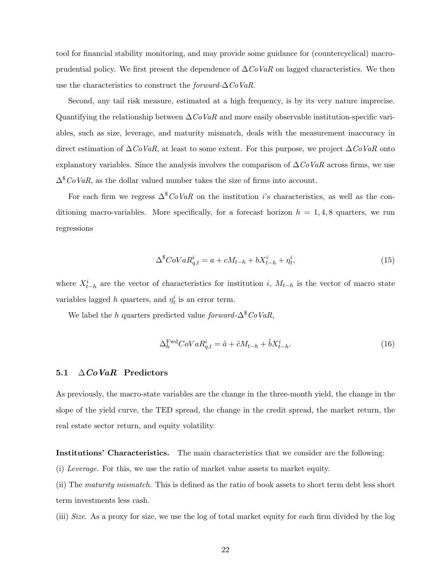tool for financial stability monitoring, and may provide some guidance for (countercyclical) macroprudential policy. We first present the dependence of  $\Delta CoVaR$  on lagged characteristics. We then use the characteristics to construct the *forward-* $\Delta C_0 VaR$ .

Second, any tail risk measure, estimated at a high frequency, is by its very nature imprecise. Quantifying the relationship between  $\Delta CoVaR$  and more easily observable institution-specific variables, such as size, leverage, and maturity mismatch, deals with the measurement inaccuracy in direct estimation of  $\Delta \textit{CoVaR}$ , at least to some extent. For this purpose, we project  $\Delta \textit{CoVaR}$  onto explanatory variables. Since the analysis involves the comparison of  $\Delta CoVaR$  across firms, we use  $\Delta^{\$}CoVaR$ , as the dollar valued number takes the size of firms into account.

For each firm we regress  $\Delta^{\$}CoVaR$  on the institution i's characteristics, as well as the conditioning macro-variables. More specifically, for a forecast horizon  $h = 1, 4, 8$  quarters, we run regressions

$$
\Delta^{\$}CoVaR_{q,t}^{i} = a + cM_{t-h} + bX_{t-h}^{i} + \eta_{t}^{i},\tag{15}
$$

where  $X_{t-h}^i$  are the vector of characteristics for institution i,  $M_{t-h}$  is the vector of macro state variables lagged h quarters, and  $\eta_t^i$  is an error term.

We label the h quarters predicted value forward- $\Delta^{\$}CoVaR$ .

$$
\Delta_h^{\text{Fwd}} \text{CoVaR}_{q,t}^i = \hat{a} + \hat{c}M_{t-h} + \hat{b}X_{t-h}^i. \tag{16}
$$

#### 5.1  $\Delta CoVaR$  Predictors

As previously, the macro-state variables are the change in the three-month yield, the change in the slope of the yield curve, the TED spread, the change in the credit spread, the market return, the real estate sector return, and equity volatility.

Institutions' Characteristics. The main characteristics that we consider are the following:

(i) Leverage. For this, we use the ratio of market value assets to market equity.

(ii) The maturity mismatch. This is defined as the ratio of book assets to short term debt less short term investments less cash.

(iii) Size. As a proxy for size, we use the log of total market equity for each firm divided by the log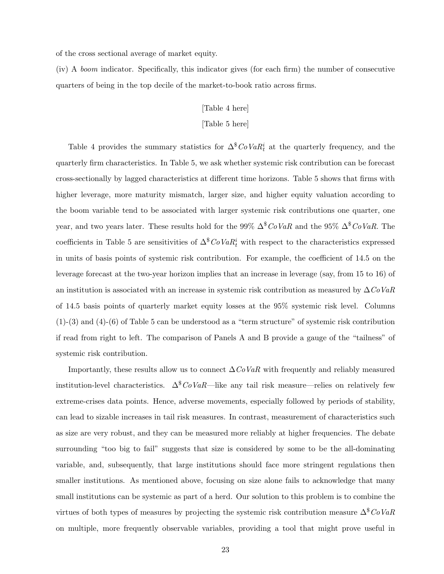of the cross sectional average of market equity.

(iv) A boom indicator. Specifically, this indicator gives (for each firm) the number of consecutive quarters of being in the top decile of the market-to-book ratio across firms.

### [Table 4 here]

### [Table 5 here]

Table 4 provides the summary statistics for  $\Delta^{\$}CoVaR_t^i$  at the quarterly frequency, and the quarterly firm characteristics. In Table 5, we ask whether systemic risk contribution can be forecast cross-sectionally by lagged characteristics at different time horizons. Table 5 shows that firms with higher leverage, more maturity mismatch, larger size, and higher equity valuation according to the boom variable tend to be associated with larger systemic risk contributions one quarter, one year, and two years later. These results hold for the 99%  $\Delta^8 CoVaR$  and the 95%  $\Delta^8 CoVaR$ . The coefficients in Table 5 are sensitivities of  $\Delta^{\$}CoVaR_t^i$  with respect to the characteristics expressed in units of basis points of systemic risk contribution. For example, the coefficient of 14.5 on the leverage forecast at the two-year horizon implies that an increase in leverage (say, from 15 to 16) of an institution is associated with an increase in systemic risk contribution as measured by  $\Delta \text{CoVaR}$ of 14.5 basis points of quarterly market equity losses at the 95% systemic risk level. Columns  $(1)-(3)$  and  $(4)-(6)$  of Table 5 can be understood as a "term structure" of systemic risk contribution if read from right to left. The comparison of Panels A and B provide a gauge of the "tailness" of systemic risk contribution.

Importantly, these results allow us to connect  $\Delta C_0VaR$  with frequently and reliably measured institution-level characteristics.  $\Delta^{\$}CoVaR$ —like any tail risk measure—relies on relatively few extreme-crises data points. Hence, adverse movements, especially followed by periods of stability, can lead to sizable increases in tail risk measures. In contrast, measurement of characteristics such as size are very robust, and they can be measured more reliably at higher frequencies. The debate surrounding "too big to fail" suggests that size is considered by some to be the all-dominating variable, and, subsequently, that large institutions should face more stringent regulations then smaller institutions. As mentioned above, focusing on size alone fails to acknowledge that many small institutions can be systemic as part of a herd. Our solution to this problem is to combine the virtues of both types of measures by projecting the systemic risk contribution measure  $\Delta^8 CoVaR$ on multiple, more frequently observable variables, providing a tool that might prove useful in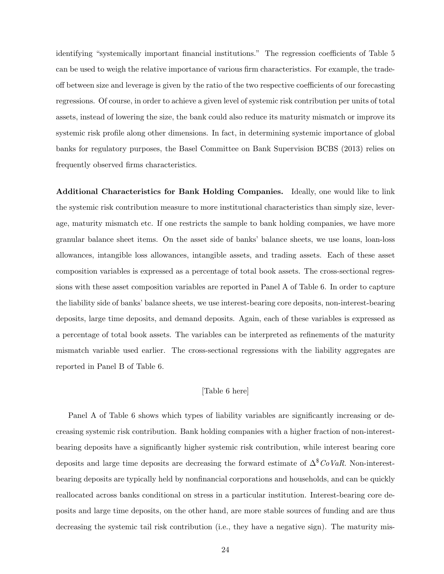identifying "systemically important financial institutions." The regression coefficients of Table 5 can be used to weigh the relative importance of various firm characteristics. For example, the tradeoff between size and leverage is given by the ratio of the two respective coefficients of our forecasting regressions. Of course, in order to achieve a given level of systemic risk contribution per units of total assets, instead of lowering the size, the bank could also reduce its maturity mismatch or improve its systemic risk profile along other dimensions. In fact, in determining systemic importance of global banks for regulatory purposes, the Basel Committee on Bank Supervision BCBS (2013) relies on frequently observed firms characteristics.

Additional Characteristics for Bank Holding Companies. Ideally, one would like to link the systemic risk contribution measure to more institutional characteristics than simply size, leverage, maturity mismatch etc. If one restricts the sample to bank holding companies, we have more granular balance sheet items. On the asset side of banks' balance sheets, we use loans, loan-loss allowances, intangible loss allowances, intangible assets, and trading assets. Each of these asset composition variables is expressed as a percentage of total book assets. The cross-sectional regressions with these asset composition variables are reported in Panel A of Table 6. In order to capture the liability side of banks' balance sheets, we use interest-bearing core deposits, non-interest-bearing deposits, large time deposits, and demand deposits. Again, each of these variables is expressed as a percentage of total book assets. The variables can be interpreted as refinements of the maturity mismatch variable used earlier. The cross-sectional regressions with the liability aggregates are reported in Panel B of Table 6.

### [Table 6 here]

Panel A of Table 6 shows which types of liability variables are significantly increasing or decreasing systemic risk contribution. Bank holding companies with a higher fraction of non-interestbearing deposits have a significantly higher systemic risk contribution, while interest bearing core deposits and large time deposits are decreasing the forward estimate of  $\Delta^{\$}CoVaR$ . Non-interestbearing deposits are typically held by nonfinancial corporations and households, and can be quickly reallocated across banks conditional on stress in a particular institution. Interest-bearing core deposits and large time deposits, on the other hand, are more stable sources of funding and are thus decreasing the systemic tail risk contribution (i.e., they have a negative sign). The maturity mis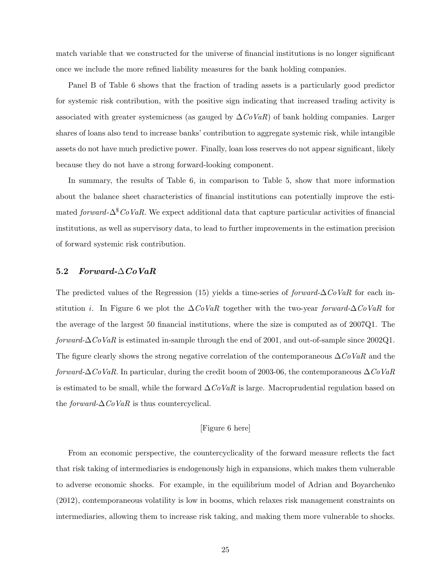match variable that we constructed for the universe of financial institutions is no longer significant once we include the more refined liability measures for the bank holding companies.

Panel B of Table 6 shows that the fraction of trading assets is a particularly good predictor for systemic risk contribution, with the positive sign indicating that increased trading activity is associated with greater systemicness (as gauged by  $\Delta CoVaR$ ) of bank holding companies. Larger shares of loans also tend to increase banks' contribution to aggregate systemic risk, while intangible assets do not have much predictive power. Finally, loan loss reserves do not appear significant, likely because they do not have a strong forward-looking component.

In summary, the results of Table 6, in comparison to Table 5, show that more information about the balance sheet characteristics of financial institutions can potentially improve the estimated forward- $\Delta^8$ CoVaR. We expect additional data that capture particular activities of financial institutions, as well as supervisory data, to lead to further improvements in the estimation precision of forward systemic risk contribution.

### 5.2 Forward- $\triangle$ CoVaR

The predicted values of the Regression (15) yields a time-series of *forward-*∆CoVaR for each institution *i*. In Figure 6 we plot the  $\Delta CoVaR$  together with the two-year forward- $\Delta CoVaR$  for the average of the largest 50 financial institutions, where the size is computed as of 2007Q1. The forward- $\Delta$ CoVaR is estimated in-sample through the end of 2001, and out-of-sample since 2002Q1. The figure clearly shows the strong negative correlation of the contemporaneous  $\Delta C_0VaR$  and the forward- $\Delta$ CoVaR. In particular, during the credit boom of 2003-06, the contemporaneous  $\Delta$ CoVaR is estimated to be small, while the forward  $\Delta CoVaR$  is large. Macroprudential regulation based on the *forward-* $\Delta CoVaR$  is thus countercyclical.

#### [Figure 6 here]

From an economic perspective, the countercyclicality of the forward measure reflects the fact that risk taking of intermediaries is endogenously high in expansions, which makes them vulnerable to adverse economic shocks. For example, in the equilibrium model of Adrian and Boyarchenko (2012), contemporaneous volatility is low in booms, which relaxes risk management constraints on intermediaries, allowing them to increase risk taking, and making them more vulnerable to shocks.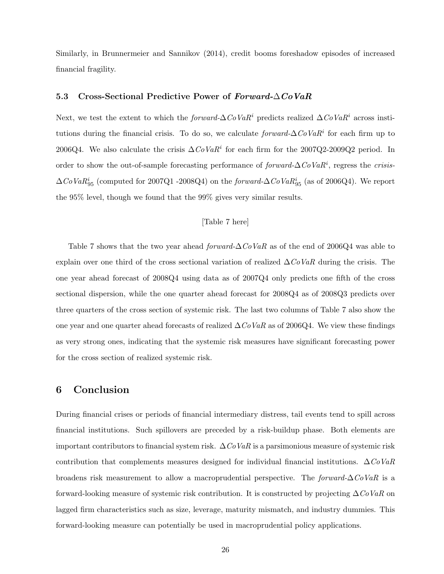Similarly, in Brunnermeier and Sannikov (2014), credit booms foreshadow episodes of increased financial fragility.

### 5.3 Cross-Sectional Predictive Power of Forward- $\triangle CoVaR$

Next, we test the extent to which the *forward-*∆CoVaR<sup>i</sup> predicts realized  $\Delta$ CoVaR<sup>i</sup> across institutions during the financial crisis. To do so, we calculate forward- $\Delta CoVaR<sup>i</sup>$  for each firm up to 2006Q4. We also calculate the crisis  $\Delta CoVaR^i$  for each firm for the 2007Q2-2009Q2 period. In order to show the out-of-sample forecasting performance of  $forward$ - $\Delta CoVaR<sup>i</sup>$ , regress the crisis- $\Delta CoVaR_{95}^i$  (computed for 2007Q1 -2008Q4) on the *forward-* $\Delta CoVaR_{95}^i$  (as of 2006Q4). We report the 95% level, though we found that the 99% gives very similar results.

### [Table 7 here]

Table 7 shows that the two year ahead forward- $\Delta CoVaR$  as of the end of 2006Q4 was able to explain over one third of the cross sectional variation of realized  $\Delta CoVaR$  during the crisis. The one year ahead forecast of 2008Q4 using data as of 2007Q4 only predicts one fifth of the cross sectional dispersion, while the one quarter ahead forecast for 2008Q4 as of 2008Q3 predicts over three quarters of the cross section of systemic risk. The last two columns of Table 7 also show the one year and one quarter ahead forecasts of realized  $\Delta CoVaR$  as of 2006Q4. We view these findings as very strong ones, indicating that the systemic risk measures have significant forecasting power for the cross section of realized systemic risk.

### 6 Conclusion

During financial crises or periods of financial intermediary distress, tail events tend to spill across financial institutions. Such spillovers are preceded by a risk-buildup phase. Both elements are important contributors to financial system risk.  $\Delta CoVaR$  is a parsimonious measure of systemic risk contribution that complements measures designed for individual financial institutions.  $\Delta \text{CoVaR}$ broadens risk measurement to allow a macroprudential perspective. The forward- $\Delta CoVaR$  is a forward-looking measure of systemic risk contribution. It is constructed by projecting  $\Delta \text{CoVaR}$  on lagged firm characteristics such as size, leverage, maturity mismatch, and industry dummies. This forward-looking measure can potentially be used in macroprudential policy applications.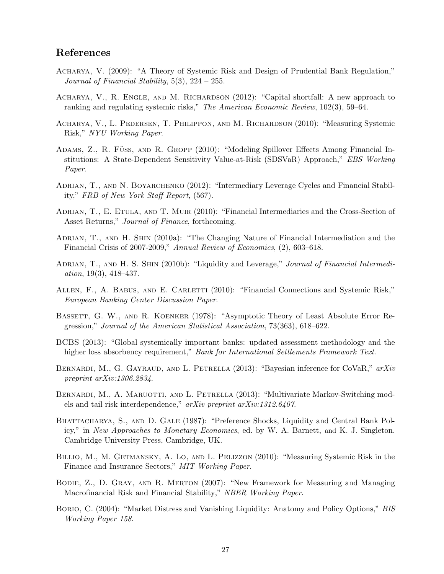### References

- Acharya, V. (2009): "A Theory of Systemic Risk and Design of Prudential Bank Regulation," Journal of Financial Stability, 5(3), 224 – 255.
- Acharya, V., R. Engle, and M. Richardson (2012): "Capital shortfall: A new approach to ranking and regulating systemic risks," The American Economic Review, 102(3), 59–64.
- Acharya, V., L. Pedersen, T. Philippon, and M. Richardson (2010): "Measuring Systemic Risk," NYU Working Paper.
- ADAMS, Z., R. FÜSS, AND R. GROPP (2010): "Modeling Spillover Effects Among Financial Institutions: A State-Dependent Sensitivity Value-at-Risk (SDSVaR) Approach," EBS Working Paper.
- Adrian, T., and N. Boyarchenko (2012): "Intermediary Leverage Cycles and Financial Stability," FRB of New York Staff Report, (567).
- Adrian, T., E. Etula, and T. Muir (2010): "Financial Intermediaries and the Cross-Section of Asset Returns," *Journal of Finance*, forthcoming.
- ADRIAN, T., AND H. SHIN (2010a): "The Changing Nature of Financial Intermediation and the Financial Crisis of 2007-2009," Annual Review of Economics, (2), 603–618.
- ADRIAN, T., AND H. S. SHIN (2010b): "Liquidity and Leverage," Journal of Financial Intermediation, 19(3), 418–437.
- ALLEN, F., A. BABUS, AND E. CARLETTI (2010): "Financial Connections and Systemic Risk," European Banking Center Discussion Paper.
- BASSETT, G. W., AND R. KOENKER (1978): "Asymptotic Theory of Least Absolute Error Regression," Journal of the American Statistical Association, 73(363), 618–622.
- BCBS (2013): "Global systemically important banks: updated assessment methodology and the higher loss absorbency requirement," Bank for International Settlements Framework Text.
- BERNARDI, M., G. GAYRAUD, AND L. PETRELLA  $(2013)$ : "Bayesian inference for CoVaR,"  $arXiv$ preprint arXiv:1306.2834.
- BERNARDI, M., A. MARUOTTI, AND L. PETRELLA (2013): "Multivariate Markov-Switching models and tail risk interdependence," arXiv preprint arXiv:1312.6407.
- BHATTACHARYA, S., AND D. GALE (1987): "Preference Shocks, Liquidity and Central Bank Policy," in New Approaches to Monetary Economics, ed. by W. A. Barnett, and K. J. Singleton. Cambridge University Press, Cambridge, UK.
- Billio, M., M. Getmansky, A. Lo, and L. Pelizzon (2010): "Measuring Systemic Risk in the Finance and Insurance Sectors," MIT Working Paper.
- Bodie, Z., D. Gray, and R. Merton (2007): "New Framework for Measuring and Managing Macrofinancial Risk and Financial Stability," NBER Working Paper.
- BORIO, C. (2004): "Market Distress and Vanishing Liquidity: Anatomy and Policy Options," BIS Working Paper 158.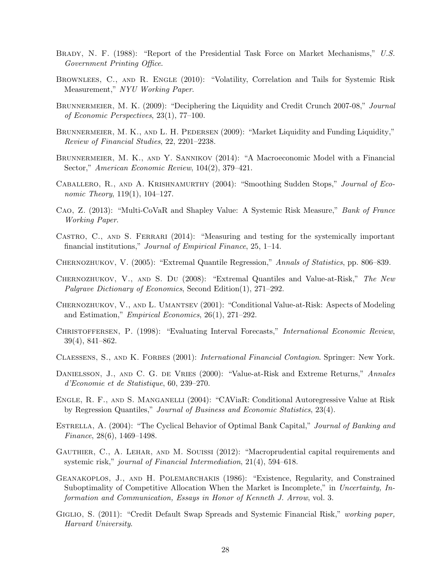- BRADY, N. F. (1988): "Report of the Presidential Task Force on Market Mechanisms," U.S. Government Printing Office.
- BROWNLEES, C., AND R. ENGLE (2010): "Volatility, Correlation and Tails for Systemic Risk Measurement," NYU Working Paper.
- BRUNNERMEIER, M. K. (2009): "Deciphering the Liquidity and Credit Crunch 2007-08," Journal of Economic Perspectives, 23(1), 77–100.
- BRUNNERMEIER, M. K., AND L. H. PEDERSEN (2009): "Market Liquidity and Funding Liquidity," Review of Financial Studies, 22, 2201–2238.
- BRUNNERMEIER, M. K., AND Y. SANNIKOV (2014): "A Macroeconomic Model with a Financial Sector," American Economic Review, 104(2), 379–421.
- Caballero, R., and A. Krishnamurthy (2004): "Smoothing Sudden Stops," Journal of Economic Theory, 119(1), 104–127.
- Cao, Z. (2013): "Multi-CoVaR and Shapley Value: A Systemic Risk Measure," Bank of France Working Paper.
- CASTRO, C., AND S. FERRARI (2014): "Measuring and testing for the systemically important financial institutions," Journal of Empirical Finance, 25, 1–14.
- CHERNOZHUKOV, V. (2005): "Extremal Quantile Regression," Annals of Statistics, pp. 806–839.
- Chernozhukov, V., and S. Du (2008): "Extremal Quantiles and Value-at-Risk," The New Palgrave Dictionary of Economics, Second Edition(1), 271–292.
- Chernozhukov, V., and L. Umantsev (2001): "Conditional Value-at-Risk: Aspects of Modeling and Estimation," Empirical Economics, 26(1), 271–292.
- CHRISTOFFERSEN, P. (1998): "Evaluating Interval Forecasts," International Economic Review, 39(4), 841–862.
- CLAESSENS, S., AND K. FORBES (2001): International Financial Contagion. Springer: New York.
- DANIELSSON, J., AND C. G. DE VRIES (2000): "Value-at-Risk and Extreme Returns," Annales d'Economie et de Statistique, 60, 239–270.
- Engle, R. F., and S. Manganelli (2004): "CAViaR: Conditional Autoregressive Value at Risk by Regression Quantiles," Journal of Business and Economic Statistics, 23(4).
- ESTRELLA, A. (2004): "The Cyclical Behavior of Optimal Bank Capital," Journal of Banking and Finance, 28(6), 1469–1498.
- Gauthier, C., A. Lehar, and M. Souissi (2012): "Macroprudential capital requirements and systemic risk," journal of Financial Intermediation, 21(4), 594–618.
- Geanakoplos, J., and H. Polemarchakis (1986): "Existence, Regularity, and Constrained Suboptimality of Competitive Allocation When the Market is Incomplete," in Uncertainty, Information and Communication, Essays in Honor of Kenneth J. Arrow, vol. 3.
- GIGLIO, S. (2011): "Credit Default Swap Spreads and Systemic Financial Risk," working paper, Harvard University.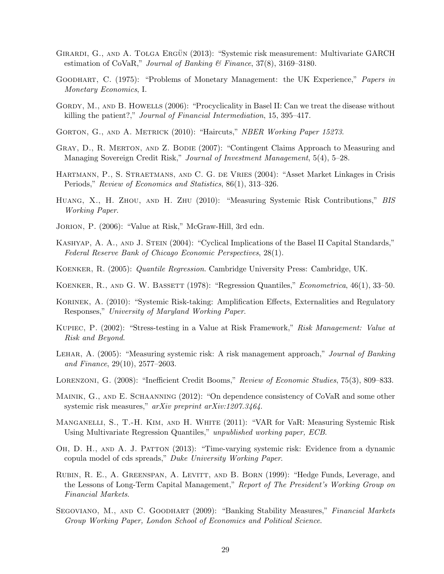- GIRARDI, G., AND A. TOLGA ERGÜN (2013): "Systemic risk measurement: Multivariate GARCH estimation of CoVaR," Journal of Banking & Finance, 37(8), 3169–3180.
- GOODHART, C. (1975): "Problems of Monetary Management: the UK Experience," *Papers in* Monetary Economics, I.
- GORDY, M., AND B. HOWELLS (2006): "Procyclicality in Basel II: Can we treat the disease without killing the patient?," Journal of Financial Intermediation, 15, 395–417.
- GORTON, G., AND A. METRICK (2010): "Haircuts," NBER Working Paper 15273.
- GRAY, D., R. MERTON, AND Z. BODIE (2007): "Contingent Claims Approach to Measuring and Managing Sovereign Credit Risk," Journal of Investment Management, 5(4), 5–28.
- Hartmann, P., S. Straetmans, and C. G. de Vries (2004): "Asset Market Linkages in Crisis Periods," Review of Economics and Statistics, 86(1), 313–326.
- Huang, X., H. Zhou, and H. Zhu (2010): "Measuring Systemic Risk Contributions," BIS Working Paper.
- JORION, P. (2006): "Value at Risk," McGraw-Hill, 3rd edn.
- KASHYAP, A. A., AND J. STEIN (2004): "Cyclical Implications of the Basel II Capital Standards," Federal Reserve Bank of Chicago Economic Perspectives, 28(1).
- KOENKER, R. (2005): *Quantile Regression*. Cambridge University Press: Cambridge, UK.
- KOENKER, R., AND G. W. BASSETT (1978): "Regression Quantiles," *Econometrica*, 46(1), 33–50.
- KORINEK, A. (2010): "Systemic Risk-taking: Amplification Effects, Externalities and Regulatory Responses," University of Maryland Working Paper.
- Kupiec, P. (2002): "Stress-testing in a Value at Risk Framework," Risk Management: Value at Risk and Beyond.
- LEHAR, A. (2005): "Measuring systemic risk: A risk management approach," Journal of Banking and Finance, 29(10), 2577–2603.
- Lorenzoni, G. (2008): "Inefficient Credit Booms," Review of Economic Studies, 75(3), 809–833.
- Mainik, G., and E. Schaanning (2012): "On dependence consistency of CoVaR and some other systemic risk measures," arXiv preprint arXiv:1207.3464.
- Manganelli, S., T.-H. Kim, and H. White (2011): "VAR for VaR: Measuring Systemic Risk Using Multivariate Regression Quantiles," unpublished working paper, ECB.
- Oh, D. H., and A. J. Patton (2013): "Time-varying systemic risk: Evidence from a dynamic copula model of cds spreads," Duke University Working Paper.
- RUBIN, R. E., A. GREENSPAN, A. LEVITT, AND B. BORN (1999): "Hedge Funds, Leverage, and the Lessons of Long-Term Capital Management," Report of The President's Working Group on Financial Markets.
- SEGOVIANO, M., AND C. GOODHART (2009): "Banking Stability Measures," Financial Markets Group Working Paper, London School of Economics and Political Science.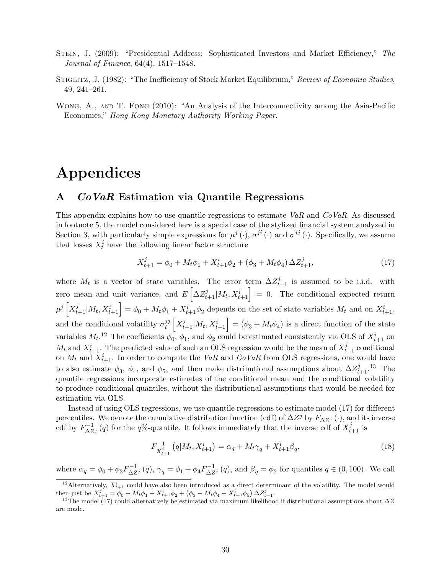- STEIN, J. (2009): "Presidential Address: Sophisticated Investors and Market Efficiency," The Journal of Finance, 64(4), 1517–1548.
- STIGLITZ, J. (1982): "The Inefficiency of Stock Market Equilibrium," Review of Economic Studies, 49, 241–261.
- Wong, A., and T. Fong (2010): "An Analysis of the Interconnectivity among the Asia-Pacific Economies," Hong Kong Monetary Authority Working Paper.

# Appendices

### A CoVaR Estimation via Quantile Regressions

This appendix explains how to use quantile regressions to estimate  $VaR$  and  $CoVaR$ . As discussed in footnote 5, the model considered here is a special case of the stylized financial system analyzed in Section 3, with particularly simple expressions for  $\mu^{j}(\cdot)$ ,  $\sigma^{ji}(\cdot)$  and  $\sigma^{jj}(\cdot)$ . Specifically, we assume that losses  $X_t^i$  have the following linear factor structure

$$
X_{t+1}^j = \phi_0 + M_t \phi_1 + X_{t+1}^i \phi_2 + (\phi_3 + M_t \phi_4) \Delta Z_{t+1}^j,
$$
\n(17)

where  $M_t$  is a vector of state variables. The error term  $\Delta Z_{t+1}^j$  is assumed to be i.i.d. with zero mean and unit variance, and  $E\left[\Delta Z_{t+1}^j | M_t, X_{t+1}^i\right] = 0$ . The conditional expected return  $\mu^j\left[X_{t+1}^j|M_t,X_{t+1}^i\right] = \phi_0 + M_t\phi_1 + X_{t+1}^i\phi_2$  depends on the set of state variables  $M_t$  and on  $X_{t+1}^i$ , and the conditional volatility  $\sigma_t^{jj}$  $\begin{bmatrix} jj \ i \end{bmatrix} \begin{bmatrix} X^j_{t+1} \ M_t, X^i_{t+1} \end{bmatrix} = (\phi_3 + M_t \phi_4)$  is a direct function of the state variables  $M_t$ .<sup>12</sup> The coefficients  $\phi_0$ ,  $\phi_1$ , and  $\phi_2$  could be estimated consistently via OLS of  $X_{t+1}^i$  on  $M_t$  and  $X_{t+1}^i$ . The predicted value of such an OLS regression would be the mean of  $X_{t+1}^j$  conditional on  $M_t$  and  $X_{t+1}^i$ . In order to compute the VaR and CoVaR from OLS regressions, one would have to also estimate  $\phi_3$ ,  $\phi_4$ , and  $\phi_5$ , and then make distributional assumptions about  $\Delta Z_{t+1}^j$ .<sup>13</sup> The quantile regressions incorporate estimates of the conditional mean and the conditional volatility to produce conditional quantiles, without the distributional assumptions that would be needed for estimation via OLS.

Instead of using OLS regressions, we use quantile regressions to estimate model (17) for different percentiles. We denote the cumulative distribution function (cdf) of  $\Delta Z^j$  by  $F_{\Delta Z^j}(\cdot)$ , and its inverse cdf by  $F_{\Delta Z}^{-1}(q)$  for the q%-quantile. It follows immediately that the inverse cdf of  $X_{t+1}^{j}$  is

$$
F_{X_{t+1}^j}^{-1}(q|M_t, X_{t+1}^i) = \alpha_q + M_t \gamma_q + X_{t+1}^i \beta_q,
$$
\n(18)

where  $\alpha_q = \phi_0 + \phi_3 F_{\Delta Z^j}^{-1}(q)$ ,  $\gamma_q = \phi_1 + \phi_4 F_{\Delta Z^j}^{-1}(q)$ , and  $\beta_q = \phi_2$  for quantiles  $q \in (0, 100)$ . We call

<sup>&</sup>lt;sup>12</sup> Alternatively,  $X_{t+1}^i$  could have also been introduced as a direct determinant of the volatility. The model would then just be  $X_{t+1}^j = \phi_0 + M_t \phi_1 + X_{t+1}^i \phi_2 + (\phi_3 + M_t \phi_4 + X_{t+1}^i \phi_5) \Delta Z_{t+1}^j$ .

<sup>&</sup>lt;sup>13</sup>The model (17) could alternatively be estimated via maximum likelihood if distributional assumptions about  $\Delta Z$ are made.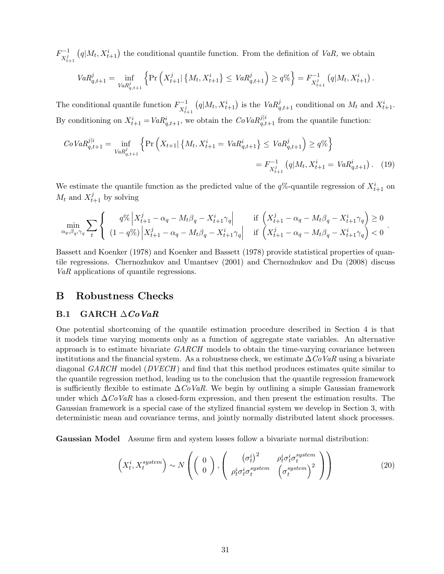$F^{-1}_{\mathbf{v}i}$  $X_{t+1}^j$  $(q|M_t, X_{t+1}^i)$  the conditional quantile function. From the definition of VaR, we obtain

$$
VaR_{q,t+1}^j = \inf_{VaR_{q,t+1}^j} \left\{ \Pr\left(X_{t+1}^j | \{M_t, X_{t+1}^i\} \leq VaR_{q,t+1}^j\right) \geq q\% \right\} = F_{X_{t+1}^j}^{-1} (q|M_t, X_{t+1}^i).
$$

The conditional quantile function  $F_{vi}^{-1}$  $X_{t+1}^j$  $(q|M_t, X_{t+1}^i)$  is the  $VaR_{q,t+1}^j$  conditional on  $M_t$  and  $X_{t+1}^i$ . By conditioning on  $X_{t+1}^i = VaR_{q,t+1}^i$ , we obtain the  $CoVaR_{q,t+1}^{j|i}$  from the quantile function:

$$
CoVaR_{q,t+1}^{j|i} = \inf_{VaR_{q,t+1}^j} \left\{ \Pr\left(X_{t+1} | \{M_t, X_{t+1}^i = VaR_{q,t+1}^i\} \le VaR_{q,t+1}^j \right) \ge q\% \right\}
$$
  
=  $F_{X_{t+1}^j}^{-1} (q|M_t, X_{t+1}^i = VaR_{q,t+1}^i)$ . (19)

We estimate the quantile function as the predicted value of the  $q\%$ -quantile regression of  $X_{t+1}^i$  on  $M_t$  and  $X_{t+1}^j$  by solving

$$
\min_{\alpha_q, \beta_q, \gamma_q} \sum_t \left\{ \begin{array}{c} q\% \left| X_{t+1}^j - \alpha_q - M_t \beta_q - X_{t+1}^i \gamma_q \right| & \text{if } \left( X_{t+1}^j - \alpha_q - M_t \beta_q - X_{t+1}^i \gamma_q \right) \ge 0 \\ (1 - q\%) \left| X_{t+1}^j - \alpha_q - M_t \beta_q - X_{t+1}^i \gamma_q \right| & \text{if } \left( X_{t+1}^j - \alpha_q - M_t \beta_q - X_{t+1}^i \gamma_q \right) < 0 \end{array} \right.
$$

.

Bassett and Koenker (1978) and Koenker and Bassett (1978) provide statistical properties of quantile regressions. Chernozhukov and Umantsev (2001) and Chernozhukov and Du (2008) discuss VaR applications of quantile regressions.

### B Robustness Checks

### B.1 GARCH  $\triangle CoVaR$

One potential shortcoming of the quantile estimation procedure described in Section 4 is that it models time varying moments only as a function of aggregate state variables. An alternative approach is to estimate bivariate  $GARCH$  models to obtain the time-varying covariance between institutions and the financial system. As a robustness check, we estimate  $\Delta C_{0}VaR$  using a bivariate diagonal GARCH model (DVECH) and find that this method produces estimates quite similar to the quantile regression method, leading us to the conclusion that the quantile regression framework is sufficiently flexible to estimate  $\Delta \textit{CoVaR}$ . We begin by outlining a simple Gaussian framework under which  $\Delta \dot{C}oVaR$  has a closed-form expression, and then present the estimation results. The Gaussian framework is a special case of the stylized financial system we develop in Section 3, with deterministic mean and covariance terms, and jointly normally distributed latent shock processes.

Gaussian Model Assume firm and system losses follow a bivariate normal distribution:

$$
\left(X_t^i, X_t^{system}\right) \sim N\left(\left(\begin{array}{c}0\\0\end{array}\right), \left(\begin{array}{cc}\left(\sigma_t^i\right)^2 & \rho_t^i \sigma_t^i \sigma_t^{system}\\ \rho_t^i \sigma_t^i \sigma_t^{system} & \left(\sigma_t^{system}\right)^2\end{array}\right)\right) \tag{20}
$$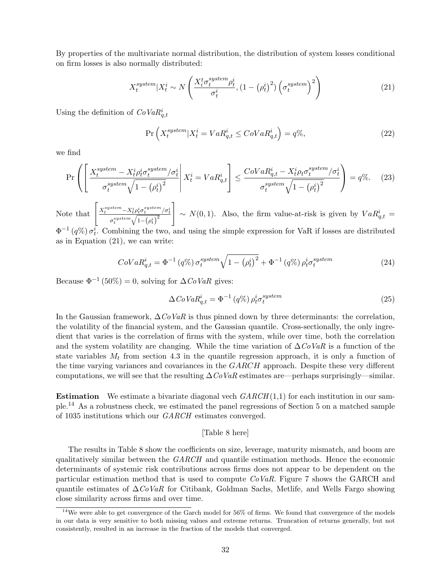By properties of the multivariate normal distribution, the distribution of system losses conditional on firm losses is also normally distributed:

$$
X_t^{system} | X_t^i \sim N\left(\frac{X_t^t \sigma_t^{system} \rho_t^i}{\sigma_t^i}, (1 - (\rho_t^i)^2) \left(\sigma_t^{system}\right)^2\right)
$$
 (21)

Using the definition of  $CoVaR^i_{q,t}$ 

$$
\Pr\left(X_t^{system}|X_t^i = VaR_{q,t}^i \leq CoVaR_{q,t}^i\right) = q\%,\tag{22}
$$

we find

$$
\Pr\left(\left[\frac{X_t^{system} - X_t^i \rho_t^i \sigma_t^{system} / \sigma_t^i}{\sigma_t^{system} \sqrt{1 - (\rho_t^i)^2}} \middle| X_t^i = VaR_{q,t}^i\right] \le \frac{CoVaR_{q,t}^i - X_t^i \rho_t \sigma_t^{system} / \sigma_t^i}{\sigma_t^{system} \sqrt{1 - (\rho_t^i)^2}}\right) = q\%. \tag{23}
$$

Note that  $\left[ \frac{X_t^{system} - X_t^i \rho_t^i \sigma_t^{system} / \sigma_t^i}{\min\left( \frac{X_t}{\sigma_t^i} \right)} \right]$  $\sigma_t^{system}\sqrt{1-{\left( \rho_t^i \right)}^2}$ 1  $\sim N(0, 1)$ . Also, the firm value-at-risk is given by  $VaR_{q,t}^{i} =$  $\Phi^{-1}(q\%) \sigma_t^i$ . Combining the two, and using the simple expression for VaR if losses are distributed as in Equation (21), we can write:

$$
CoVaR_{q,t}^{i} = \Phi^{-1}(q\%) \sigma_t^{system} \sqrt{1 - (\rho_t^i)^2} + \Phi^{-1}(q\%) \rho_t^i \sigma_t^{system}
$$
\n
$$
(24)
$$

Because  $\Phi^{-1}$  (50%) = 0, solving for  $\Delta \mathbb{C}$  ovaR gives:

$$
\Delta CoVaR_{q,t}^i = \Phi^{-1} (q\%) \rho_t^i \sigma_t^{system}
$$
\n(25)

In the Gaussian framework,  $\Delta C_0$  VaR is thus pinned down by three determinants: the correlation, the volatility of the financial system, and the Gaussian quantile. Cross-sectionally, the only ingredient that varies is the correlation of firms with the system, while over time, both the correlation and the system volatility are changing. While the time variation of  $\Delta C_0 VaR$  is a function of the state variables  $M_t$  from section 4.3 in the quantile regression approach, it is only a function of the time varying variances and covariances in the  $GARCH$  approach. Despite these very different computations, we will see that the resulting  $\Delta CoVaR$  estimates are—perhaps surprisingly—similar.

**Estimation** We estimate a bivariate diagonal vech  $GARCH(1,1)$  for each institution in our sample.<sup>14</sup> As a robustness check, we estimated the panel regressions of Section 5 on a matched sample of 1035 institutions which our GARCH estimates converged.

### [Table 8 here]

The results in Table 8 show the coefficients on size, leverage, maturity mismatch, and boom are qualitatively similar between the GARCH and quantile estimation methods. Hence the economic determinants of systemic risk contributions across firms does not appear to be dependent on the particular estimation method that is used to compute  $CoVaR$ . Figure 7 shows the GARCH and quantile estimates of  $\Delta \dot{C}oVaR$  for Citibank, Goldman Sachs, Metlife, and Wells Fargo showing close similarity across firms and over time.

<sup>&</sup>lt;sup>14</sup>We were able to get convergence of the Garch model for  $56\%$  of firms. We found that convergence of the models in our data is very sensitive to both missing values and extreme returns. Truncation of returns generally, but not consistently, resulted in an increase in the fraction of the models that converged.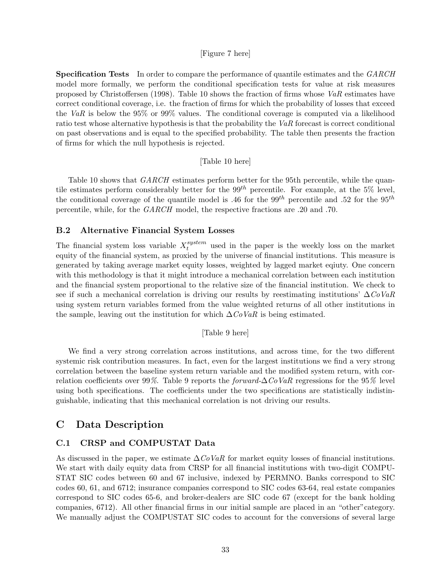### [Figure 7 here]

**Specification Tests** In order to compare the performance of quantile estimates and the GARCH model more formally, we perform the conditional specification tests for value at risk measures proposed by Christoffersen (1998). Table 10 shows the fraction of firms whose  $VaR$  estimates have correct conditional coverage, i.e. the fraction of firms for which the probability of losses that exceed the VaR is below the 95% or 99% values. The conditional coverage is computed via a likelihood ratio test whose alternative hypothesis is that the probability the VaR forecast is correct conditional on past observations and is equal to the specified probability. The table then presents the fraction of firms for which the null hypothesis is rejected.

### [Table 10 here]

Table 10 shows that *GARCH* estimates perform better for the 95th percentile, while the quantile estimates perform considerably better for the  $99^{th}$  percentile. For example, at the 5% level, the conditional coverage of the quantile model is .46 for the 99<sup>th</sup> percentile and .52 for the 95<sup>th</sup> percentile, while, for the GARCH model, the respective fractions are .20 and .70.

### B.2 Alternative Financial System Losses

The financial system loss variable  $X_t^{system}$  used in the paper is the weekly loss on the market equity of the financial system, as proxied by the universe of financial institutions. This measure is generated by taking average market equity losses, weighted by lagged market eqiuty. One concern with this methodology is that it might introduce a mechanical correlation between each institution and the financial system proportional to the relative size of the financial institution. We check to see if such a mechanical correlation is driving our results by reestimating institutions'  $\Delta \text{CoVaR}$ using system return variables formed from the value weighted returns of all other institutions in the sample, leaving out the institution for which  $\Delta \mathit{CoVaR}$  is being estimated.

#### [Table 9 here]

We find a very strong correlation across institutions, and across time, for the two different systemic risk contribution measures. In fact, even for the largest institutions we find a very strong correlation between the baseline system return variable and the modified system return, with correlation coefficients over 99%. Table 9 reports the *forward-*∆CoVaR regressions for the 95% level using both specifications. The coefficients under the two specifications are statistically indistinguishable, indicating that this mechanical correlation is not driving our results.

### C Data Description

### C.1 CRSP and COMPUSTAT Data

As discussed in the paper, we estimate  $\Delta \textit{CoVaR}$  for market equity losses of financial institutions. We start with daily equity data from CRSP for all financial institutions with two-digit COMPU-STAT SIC codes between 60 and 67 inclusive, indexed by PERMNO. Banks correspond to SIC codes 60, 61, and 6712; insurance companies correspond to SIC codes 63-64, real estate companies correspond to SIC codes 65-6, and broker-dealers are SIC code 67 (except for the bank holding companies, 6712). All other financial firms in our initial sample are placed in an "other"category. We manually adjust the COMPUSTAT SIC codes to account for the conversions of several large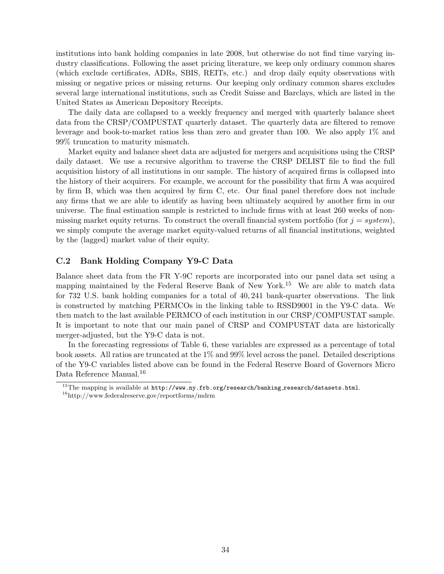institutions into bank holding companies in late 2008, but otherwise do not find time varying industry classifications. Following the asset pricing literature, we keep only ordinary common shares (which exclude certificates, ADRs, SBIS, REITs, etc.) and drop daily equity observations with missing or negative prices or missing returns. Our keeping only ordinary common shares excludes several large international institutions, such as Credit Suisse and Barclays, which are listed in the United States as American Depository Receipts.

The daily data are collapsed to a weekly frequency and merged with quarterly balance sheet data from the CRSP/COMPUSTAT quarterly dataset. The quarterly data are filtered to remove leverage and book-to-market ratios less than zero and greater than 100. We also apply 1% and 99% truncation to maturity mismatch.

Market equity and balance sheet data are adjusted for mergers and acquisitions using the CRSP daily dataset. We use a recursive algorithm to traverse the CRSP DELIST file to find the full acquisition history of all institutions in our sample. The history of acquired firms is collapsed into the history of their acquirers. For example, we account for the possibility that firm A was acquired by firm B, which was then acquired by firm C, etc. Our final panel therefore does not include any firms that we are able to identify as having been ultimately acquired by another firm in our universe. The final estimation sample is restricted to include firms with at least 260 weeks of nonmissing market equity returns. To construct the overall financial system portfolio (for  $j = system$ ), we simply compute the average market equity-valued returns of all financial institutions, weighted by the (lagged) market value of their equity.

### C.2 Bank Holding Company Y9-C Data

Balance sheet data from the FR Y-9C reports are incorporated into our panel data set using a mapping maintained by the Federal Reserve Bank of New York.<sup>15</sup> We are able to match data for 732 U.S. bank holding companies for a total of 40, 241 bank-quarter observations. The link is constructed by matching PERMCOs in the linking table to RSSD9001 in the Y9-C data. We then match to the last available PERMCO of each institution in our CRSP/COMPUSTAT sample. It is important to note that our main panel of CRSP and COMPUSTAT data are historically merger-adjusted, but the Y9-C data is not.

In the forecasting regressions of Table 6, these variables are expressed as a percentage of total book assets. All ratios are truncated at the 1% and 99% level across the panel. Detailed descriptions of the Y9-C variables listed above can be found in the Federal Reserve Board of Governors Micro Data Reference Manual.<sup>16</sup>

 $^{15}$ The mapping is available at  ${\tt http://www.ny.frb.org/research/banking_research/datasets.html.}$ 

 $\rm ^{16}http://www.federalreserve.gov/reportforms/mdrm$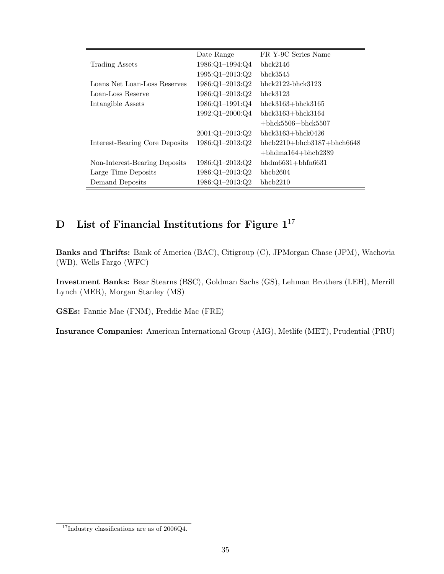|                                | Date Range          | FR Y-9C Series Name           |
|--------------------------------|---------------------|-------------------------------|
| Trading Assets                 | 1986:Q1-1994:Q4     | bhck2146                      |
|                                | $1995:Q1 - 2013:Q2$ | bhck3545                      |
| Loans Net Loan-Loss Reserves   | 1986:Q1-2013:Q2     | $bhc k2122-bhck3123$          |
| Loan-Loss Reserve              | $1986:Q1-2013:Q2$   | $bhc$ $k3123$                 |
| Intangible Assets              | 1986:Q1-1991:Q4     | $bhck3163+bhck3165$           |
|                                | 1992:Q1-2000:Q4     | bhck $3163 + \text{bhck}3164$ |
|                                |                     | $+bhck5506+bhck5507$          |
|                                | $2001:Q1 - 2013:Q2$ | $bhck3163+bhck0426$           |
| Interest-Bearing Core Deposits | 1986:Q1-2013:Q2     | $bhcb2210+bhc b3187+bhch6648$ |
|                                |                     | $+bhdma164+bhc b2389$         |
| Non-Interest-Bearing Deposits  | 1986:Q1-2013:Q2     | bhdm $6631 + b$ hfn $6631$    |
| Large Time Deposits            | 1986:Q1-2013:Q2     | bhcb2604                      |
| Demand Deposits                | 1986:Q1-2013:Q2     | bhcb2210                      |

# D List of Financial Institutions for Figure  $1^{17}$

Banks and Thrifts: Bank of America (BAC), Citigroup (C), JPMorgan Chase (JPM), Wachovia (WB), Wells Fargo (WFC)

Investment Banks: Bear Stearns (BSC), Goldman Sachs (GS), Lehman Brothers (LEH), Merrill Lynch (MER), Morgan Stanley (MS)

GSEs: Fannie Mae (FNM), Freddie Mac (FRE)

Insurance Companies: American International Group (AIG), Metlife (MET), Prudential (PRU)

<sup>17</sup>Industry classifications are as of 2006Q4.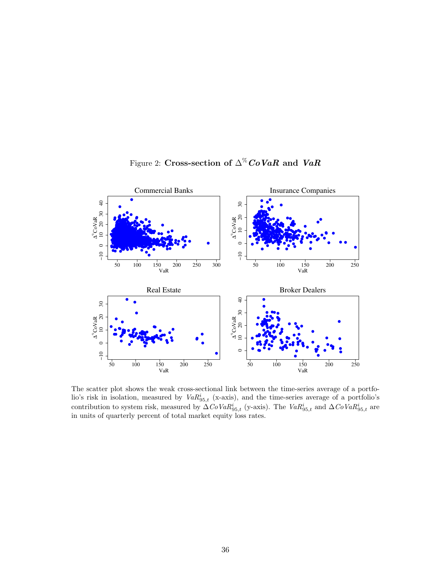

Figure 2: Cross-section of  $\Delta^{\%}$  CoVaR and VaR

The scatter plot shows the weak cross-sectional link between the time-series average of a portfolio's risk in isolation, measured by  $VaR_{95,t}^i$  (x-axis), and the time-series average of a portfolio's contribution to system risk, measured by  $\Delta CoVaR_{95,t}^i$  (y-axis). The  $VaR_{95,t}^i$  and  $\Delta CoVaR_{95,t}^i$  are in units of quarterly percent of total market equity loss rates.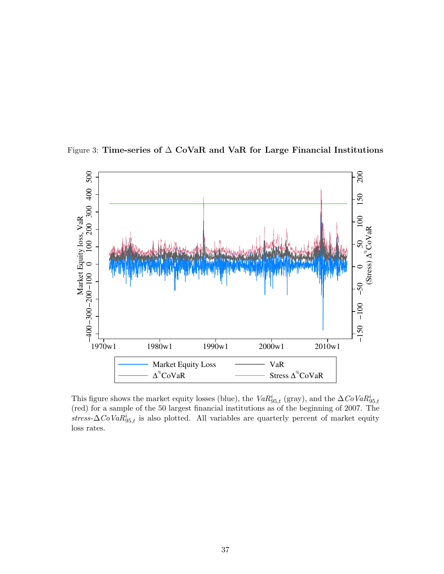

Figure 3: Time-series of ∆ CoVaR and VaR for Large Financial Institutions

This figure shows the market equity losses (blue), the  $VaR_{95,t}^{i}$  (gray), and the  $\Delta CoVaR_{95,t}^{i}$ (red) for a sample of the 50 largest financial institutions as of the beginning of 2007. The stress- $\Delta$ CoVa $R_{95,t}$  is also plotted. All variables are quarterly percent of market equity loss rates.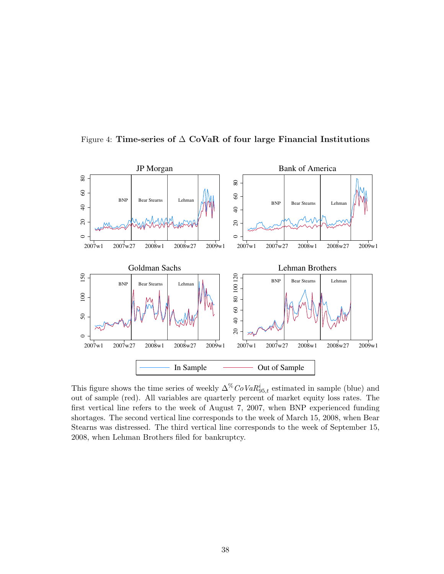

Figure 4: Time-series of  $\Delta$  CoVaR of four large Financial Institutions

This figure shows the time series of weekly  $\Delta^{\%} CoVaR^{i}_{95,t}$  estimated in sample (blue) and out of sample (red). All variables are quarterly percent of market equity loss rates. The first vertical line refers to the week of August 7, 2007, when BNP experienced funding shortages. The second vertical line corresponds to the week of March 15, 2008, when Bear Stearns was distressed. The third vertical line corresponds to the week of September 15, 2008, when Lehman Brothers filed for bankruptcy.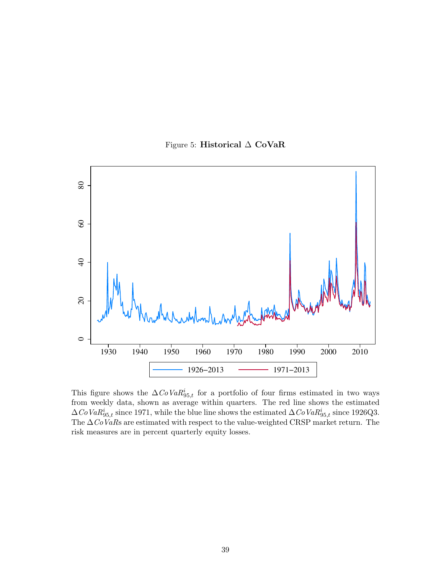Figure 5: Historical ∆ CoVaR



This figure shows the  $\Delta CoVaR_{95,t}^i$  for a portfolio of four firms estimated in two ways from weekly data, shown as average within quarters. The red line shows the estimated  $\Delta CoVaR_{95,t}^{i}$  since 1971, while the blue line shows the estimated  $\Delta CoVaR_{95,t}^{i}$  since 1926Q3. The  $\Delta$ CoVaRs are estimated with respect to the value-weighted CRSP market return. The risk measures are in percent quarterly equity losses.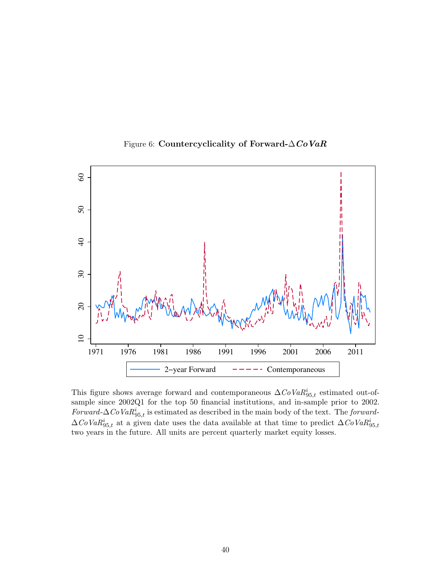

Figure 6: Countercyclicality of Forward- $\triangle CoVaR$ 

This figure shows average forward and contemporaneous  $\Delta C_{0}VaR^{i}_{95,t}$  estimated out-ofsample since 2002Q1 for the top 50 financial institutions, and in-sample prior to 2002. Forward- $\Delta$ CoVa $R_{95,t}$  is estimated as described in the main body of the text. The forward- $\Delta CoVaR_{95,t}^{i}$  at a given date uses the data available at that time to predict  $\Delta CoVaR_{95,t}^{i}$ two years in the future. All units are percent quarterly market equity losses.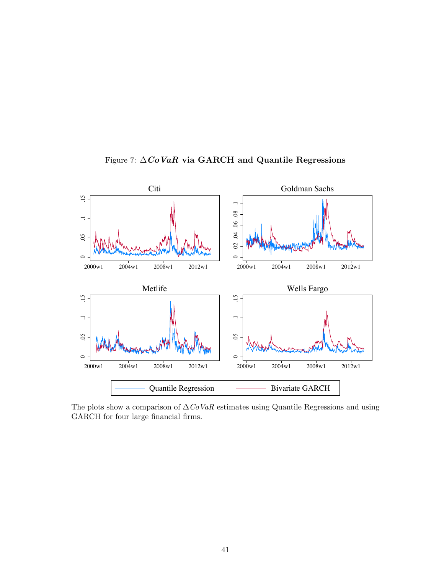

Figure 7:  $\Delta CoVaR$  via GARCH and Quantile Regressions

The plots show a comparison of  $\Delta C_0 VaR$  estimates using Quantile Regressions and using GARCH for four large financial firms.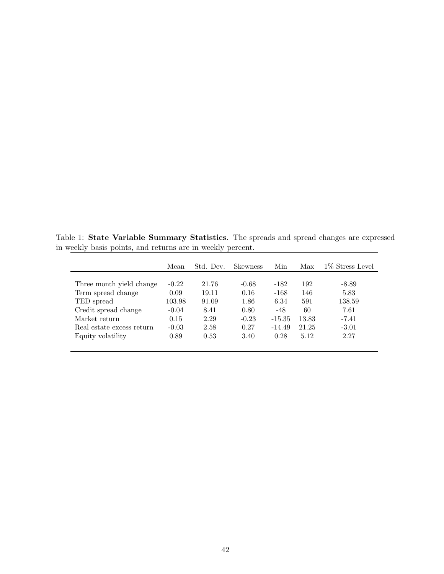Table 1: State Variable Summary Statistics. The spreads and spread changes are expressed in weekly basis points, and returns are in weekly percent.  $=$ 

|                           | Mean    | Std. Dev. | Skewness | Min      | Max   | 1\% Stress Level |
|---------------------------|---------|-----------|----------|----------|-------|------------------|
|                           |         |           |          |          |       |                  |
| Three month yield change  | $-0.22$ | 21.76     | $-0.68$  | $-182$   | 192   | $-8.89$          |
| Term spread change        | 0.09    | 19.11     | 0.16     | $-168$   | 146   | 5.83             |
| TED spread                | 103.98  | 91.09     | 1.86     | 6.34     | 591   | 138.59           |
| Credit spread change      | $-0.04$ | 8.41      | 0.80     | $-48$    | 60    | 7.61             |
| Market return             | 0.15    | 2.29      | $-0.23$  | $-15.35$ | 13.83 | $-7.41$          |
| Real estate excess return | $-0.03$ | 2.58      | 0.27     | $-14.49$ | 21.25 | $-3.01$          |
| Equity volatility         | 0.89    | 0.53      | 3.40     | 0.28     | 5.12  | 2.27             |
|                           |         |           |          |          |       |                  |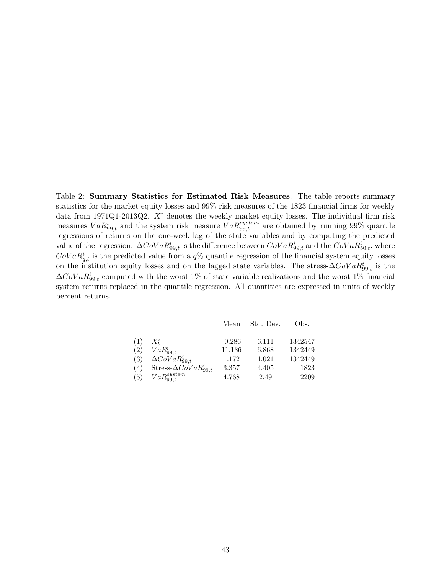Table 2: Summary Statistics for Estimated Risk Measures. The table reports summary statistics for the market equity losses and 99% risk measures of the 1823 financial firms for weekly data from 1971Q1-2013Q2.  $X^i$  denotes the weekly market equity losses. The individual firm risk measures  $VaR_{99,t}^i$  and the system risk measure  $VaR_{99,t}^{system}$  are obtained by running 99% quantile regressions of returns on the one-week lag of the state variables and by computing the predicted value of the regression.  $\Delta CoVaR_{99,t}^i$  is the difference between  $CoVaR_{99,t}^i$  and the  $CoVaR_{50,t}^i$ , where  $Cov a R_{q,t}^{i}$  is the predicted value from a  $q\%$  quantile regression of the financial system equity losses on the institution equity losses and on the lagged state variables. The stress- $\Delta CoVaR_{99,t}^{i}$  is the  $\Delta CoVaR_{99,t}^{i}$  computed with the worst 1% of state variable realizations and the worst 1% financial system returns replaced in the quantile regression. All quantities are expressed in units of weekly percent returns.

|     |                                 | Mean     | Std. Dev. | Obs.    |
|-----|---------------------------------|----------|-----------|---------|
| (1) | $X_t^i$                         | $-0.286$ | 6.111     | 1342547 |
| (2) | $VaR_{99,t}^i$                  | 11.136   | 6.868     | 1342449 |
| (3) | $\Delta CoVaR_{99,t}^i$         | 1.172    | 1.021     | 1342449 |
| (4) | Stress- $\Delta CoVaR_{99.t}^i$ | 3.357    | 4.405     | 1823    |
| (5) | $VaR_{99.t}^{system}$           | 4.768    | 2.49      | 2209    |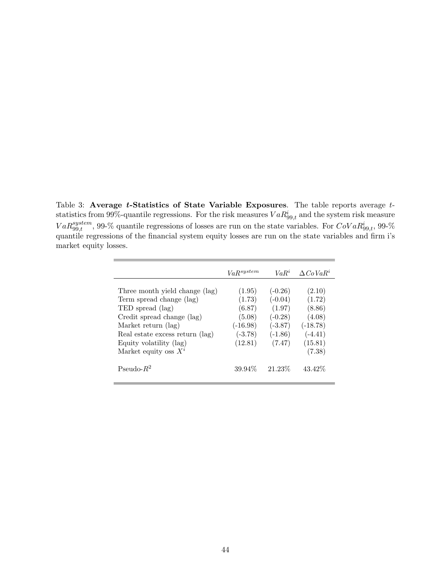Table 3: Average *t*-Statistics of State Variable Exposures. The table reports average *t*statistics from 99%-quantile regressions. For the risk measures  $VaR_{99,t}^i$  and the system risk measure  $VaR_{99,t}^{system}$ , 99-% quantile regressions of losses are run on the state variables. For  $CoVaR_{99,t}^{i}$ , 99-% quantile regressions of the financial system equity losses are run on the state variables and firm i's market equity losses.

|                                 | VaR <sup>system</sup> | $VaR^i$   | $\Delta CoVaR^i$ |
|---------------------------------|-----------------------|-----------|------------------|
|                                 |                       |           |                  |
| Three month yield change (lag)  | (1.95)                | $(-0.26)$ | (2.10)           |
| Term spread change (lag)        | (1.73)                | $(-0.04)$ | (1.72)           |
| TED spread (lag)                | (6.87)                | (1.97)    | (8.86)           |
| Credit spread change (lag)      | (5.08)                | $(-0.28)$ | (4.08)           |
| Market return (lag)             | $(-16.98)$            | $(-3.87)$ | $(-18.78)$       |
| Real estate excess return (lag) | $(-3.78)$             | $(-1.86)$ | $(-4.41)$        |
| Equity volatility (lag)         | (12.81)               | (7.47)    | (15.81)          |
| Market equity oss $X^i$         |                       |           | (7.38)           |
| Pseudo- $R^2$                   | 39.94%                | 21.23\%   | 43.42\%          |

 $\overline{a}$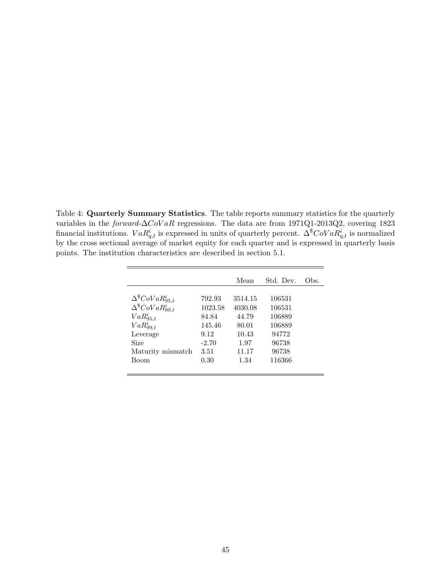Table 4: Quarterly Summary Statistics. The table reports summary statistics for the quarterly variables in the forward-∆CoV aR regressions. The data are from 1971Q1-2013Q2, covering 1823 financial institutions.  $VaR_{q,t}^i$  is expressed in units of quarterly percent.  $\Delta^\$CoVaR_{q,t}^i$  is normalized by the cross sectional average of market equity for each quarter and is expressed in quarterly basis points. The institution characteristics are described in section 5.1.

|                                   |         | Mean    | Std. Dev. | Obs. |
|-----------------------------------|---------|---------|-----------|------|
|                                   |         |         |           |      |
| $\Delta^{\$}CoVaR^{i}_{95,t}$     | 792.93  | 3514.15 | 106531    |      |
| $\Delta^{\$}$ CoVa $R_{99,t}^{i}$ | 1023.58 | 4030.08 | 106531    |      |
| $VaR_{95,t}^i$                    | 84.84   | 44.79   | 106889    |      |
| $VaR_{99,t}^i$                    | 145.46  | 80.01   | 106889    |      |
| Leverage                          | 9.12    | 10.43   | 94772     |      |
| <b>Size</b>                       | $-2.70$ | 1.97    | 96738     |      |
| Maturity mismatch                 | 3.51    | 11.17   | 96738     |      |
| <b>Boom</b>                       | 0.30    | 1.34    | 116366    |      |
|                                   |         |         |           |      |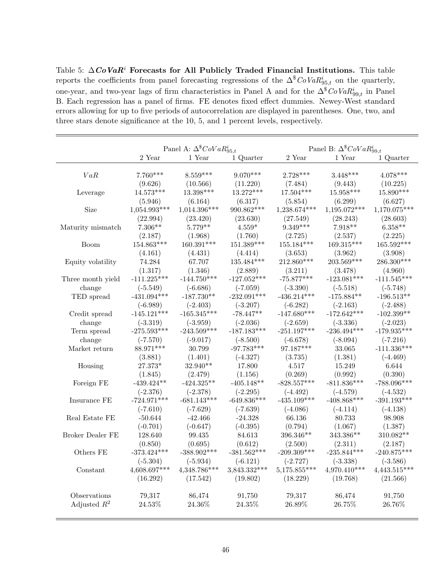Table 5:  $\Delta \mathbf{CoVaR}^i$  Forecasts for All Publicly Traded Financial Institutions. This table reports the coefficients from panel forecasting regressions of the  $\Delta^{\$}CoVaR^{i}_{95,t}$  on the quarterly, one-year, and two-year lags of firm characteristics in Panel A and for the  $\Delta^8 CoVaR_{99,t}^i$  in Panel B. Each regression has a panel of firms. FE denotes fixed effect dummies. Newey-West standard errors allowing for up to five periods of autocorrelation are displayed in parentheses. One, two, and three stars denote significance at the 10, 5, and 1 percent levels, respectively.

|                                |                | Panel A: $\Delta^{\$}CoVaR^i_{95,t}$ |                  |                | Panel B: $\Delta^{\$}CoVaR_{99,t}^{i}$ |                |  |
|--------------------------------|----------------|--------------------------------------|------------------|----------------|----------------------------------------|----------------|--|
|                                | 2 Year         | 1 Year                               | 1 Quarter        | $2$ Year $\,$  | 1 Year                                 | 1 Quarter      |  |
|                                |                |                                      |                  |                |                                        |                |  |
| VaR                            | $7.760***$     | $8.559***$                           | $9.070***$       | $2.728***$     | $3.448***$                             | $4.078***$     |  |
|                                | (9.626)        | (10.566)                             | (11.220)         | (7.484)        | (9.443)                                | (10.225)       |  |
| Leverage                       | $14.573***$    | 13.398***                            | $13.272***$      | 17.504***      | $15.958***$                            | $15.890***$    |  |
|                                | (5.946)        | (6.164)                              | (6.317)          | (5.854)        | (6.299)                                | (6.627)        |  |
| Size                           | $1,054.993***$ | $1,014.396***$                       | 990.862***       | 1,238.674***   | 1,195.072***                           | 1,170.075***   |  |
|                                | (22.994)       | (23.420)                             | (23.630)         | (27.549)       | (28.243)                               | (28.603)       |  |
| Maturity mismatch              | $7.306**$      | $5.779**$                            | $4.559*$         | $9.349***$     | $7.918**$                              | $6.358**$      |  |
|                                | (2.187)        | (1.968)                              | (1.760)          | (2.725)        | (2.537)                                | (2.225)        |  |
| <b>Boom</b>                    | 154.863***     | 160.391***                           | 151.389***       | $155.184***$   | $169.315***$                           | 165.592***     |  |
|                                | (4.161)        | (4.431)                              | (4.414)          | (3.653)        | (3.962)                                | (3.908)        |  |
| Equity volatility              | 74.284         | 67.707                               | 135.484***       | 212.860***     | 203.569***                             | 286.300***     |  |
|                                | (1.317)        | (1.346)                              | (2.889)          | (3.211)        | (3.478)                                | (4.960)        |  |
| Three month yield              | $-111.225***$  | $-144.750***$                        | $-127.052***$    | $-75.877***$   | $-123.081***$                          | $-111.545***$  |  |
| change                         | $(-5.549)$     | $(-6.686)$                           | $(-7.059)$       | $(-3.390)$     | $(-5.518)$                             | $(-5.748)$     |  |
| TED spread                     | $-431.094***$  | $-187.730**$                         | $-232.091***$    | $-436.214***$  | $-175.884**$                           | $-196.513**$   |  |
|                                | $(-6.989)$     | $(-2.403)$                           | $(-3.207)$       | $(-6.282)$     | $(-2.163)$                             | $(-2.488)$     |  |
| Credit spread                  | $-145.121***$  | $-165.345***$                        | $-78.447**$      | $-147.680***$  | $-172.642***$                          | $-102.399**$   |  |
| change                         | $(-3.319)$     | $(-3.959)$                           | $(-2.036)$       | $(-2.659)$     | $(-3.336)$                             | $(-2.023)$     |  |
| Term spread                    | $-275.593***$  | $-243.509***$                        | $-187.183***$    | $-251.197***$  | $-236.494***$                          | $-179.935***$  |  |
| change                         | $(-7.570)$     | $(-9.017)$                           | $(-8.500)$       | $(-6.678)$     | $(-8.094)$                             | $(-7.216)$     |  |
| Market return                  | 88.971***      | 30.799                               | $-97.783***$     | 97.187***      | 33.065                                 | $-111.336***$  |  |
|                                | (3.881)        | (1.401)                              | $(-4.327)$       | (3.735)        | (1.381)                                | $(-4.469)$     |  |
| Housing                        | 27.373*        | 32.940**                             | 17.800           | 4.517          | 15.249                                 | 6.644          |  |
|                                | (1.845)        | (2.479)                              | (1.156)          | (0.269)        | (0.992)                                | (0.390)        |  |
| Foreign FE                     | $-439.424**$   | $-424.325**$                         | $-405.148**$     | $-828.557***$  | $-811.836***$                          | $-788.096***$  |  |
|                                | $(-2.376)$     | $(-2.378)$                           | $(-2.295)$       | $(-4.492)$     | $(-4.579)$                             | $(-4.532)$     |  |
| Insurance FE                   | $-724.971***$  | $-681.143***$                        | $-649.836***$    | $-435.109***$  | $-408.868***$                          | $-391.193***$  |  |
|                                | $(-7.610)$     | $(-7.629)$                           | $(-7.639)$       | $(-4.086)$     | $(-4.114)$                             | $(-4.138)$     |  |
| Real Estate FE                 | $-50.644$      | $-42.466$                            | $-24.328$        | 66.136         | 80.733                                 | 98.908         |  |
|                                | $(-0.701)$     | $(-0.647)$                           | $(-0.395)$       | (0.794)        | (1.067)                                | (1.387)        |  |
| Broker Dealer FE               | 128.640        | 99.435                               | 84.613           | 396.346**      | $343.386**$                            | 310.082**      |  |
|                                | (0.850)        | (0.695)                              | (0.612)          | (2.500)        | (2.311)                                | (2.187)        |  |
| Others FE                      | $-373.424***$  | $-388.902***$                        | $-381.562***$    | $-209.309***$  | $-235.844***$                          | $-240.875***$  |  |
|                                | $(-5.304)$     | $(-5.934)$                           | $(-6.121)$       | $(-2.727)$     | $(-3.338)$                             | $(-3.586)$     |  |
| Constant                       | 4,608.697***   | 4,348.786***                         | 3,843.332***     | $5,175.855***$ | $4,970.410***$                         | $4,443.515***$ |  |
|                                | (16.292)       | (17.542)                             | (19.802)         | (18.229)       | (19.768)                               | (21.566)       |  |
|                                | 79,317         | 86,474                               |                  | 79,317         |                                        | 91,750         |  |
| Observations<br>Adjusted $R^2$ | 24.53%         | 24.36%                               | 91,750<br>24.35% | 26.89%         | 86,474<br>26.75%                       | 26.76%         |  |
|                                |                |                                      |                  |                |                                        |                |  |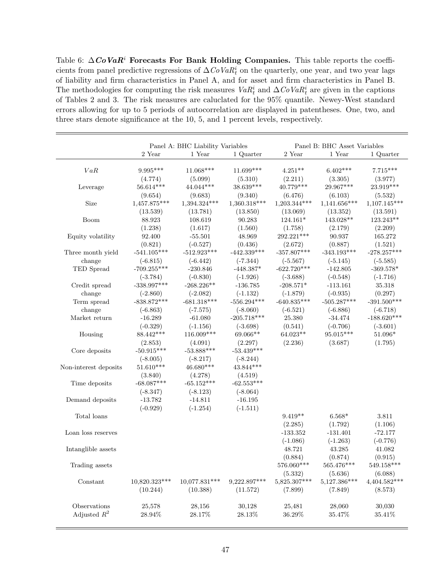Table 6:  $\Delta \mathbf{CoVaR}^i$  Forecasts For Bank Holding Companies. This table reports the coefficients from panel predictive regressions of  $\Delta C \text{o} VaR_t^i$  on the quarterly, one year, and two year lags of liability and firm characteristics in Panel A, and for asset and firm characteristics in Panel B. The methodologies for computing the risk measures  $VaR_t^i$  and  $\Delta CoVaR_t^i$  are given in the captions of Tables 2 and 3. The risk measures are caluclated for the 95% quantile. Newey-West standard errors allowing for up to 5 periods of autocorrelation are displayed in patentheses. One, two, and three stars denote significance at the 10, 5, and 1 percent levels, respectively.

|                       | Panel A: BHC Liability Variables |                 |                | Panel B: BHC Asset Variables |                |               |
|-----------------------|----------------------------------|-----------------|----------------|------------------------------|----------------|---------------|
|                       | 2 Year                           | 1 Year          | 1 Quarter      | 2 Year                       | 1 Year         | 1 Quarter     |
|                       |                                  |                 |                |                              |                |               |
| VaR                   | 9.995***                         | 11.068***       | 11.699***      | $4.251**$                    | $6.402***$     | $7.715***$    |
|                       | (4.774)                          | (5.099)         | (5.310)        | (2.211)                      | (3.305)        | (3.977)       |
| Leverage              | 56.614***                        | 44.044***       | $38.639***$    | 40.779***                    | 29.967***      | 23.919***     |
|                       | (9.654)                          | (9.683)         | (9.340)        | (6.476)                      | (6.103)        | (5.532)       |
| Size                  | 1,457.875***                     | 1,394.324***    | $1,360.318***$ | $1,203.344***$               | $1,141.656***$ | 1,107.145***  |
|                       | (13.539)                         | (13.781)        | (13.850)       | (13.069)                     | (13.352)       | (13.591)      |
| Boom                  | 88.923                           | 108.619         | 90.283         | $124.161*$                   | 143.028**      | 123.243**     |
|                       | (1.238)                          | (1.617)         | (1.560)        | (1.758)                      | (2.179)        | (2.209)       |
| Equity volatility     | 92.400                           | $-55.501$       | 48.969         | 292.221***                   | 90.937         | 165.272       |
|                       | (0.821)                          | $(-0.527)$      | (0.436)        | (2.672)                      | (0.887)        | (1.521)       |
| Three month yield     | $-541.105***$                    | $-512.923***$   | $-442.339***$  | $-357.807***$                | $-343.193***$  | $-278.257***$ |
| change                | $(-6.815)$                       | $(-6.442)$      | $(-7.344)$     | $(-5.567)$                   | $(-5.145)$     | $(-5.585)$    |
| TED Spread            | $-709.255***$                    | $-230.846$      | $-448.387*$    | $-622.720***$                | $-142.805$     | $-369.578*$   |
|                       | $(-3.784)$                       | $(-0.830)$      | $(-1.926)$     | $(-3.688)$                   | $(-0.548)$     | $(-1.716)$    |
| Credit spread         | $-338.997***$                    | $-268.226**$    | $-136.785$     | $-208.571*$                  | $-113.161$     | 35.318        |
| change                | $(-2.860)$                       | $(-2.082)$      | $(-1.132)$     | $(-1.879)$                   | $(-0.935)$     | (0.297)       |
| Term spread           | $-838.872***$                    | $-681.318***$   | $-556.294***$  | $-640.835***$                | $-505.287***$  | $-391.500***$ |
| change                | $(-6.863)$                       | $(-7.575)$      | $(-8.060)$     | $(-6.521)$                   | $(-6.886)$     | $(-6.718)$    |
| Market return         | $-16.289$                        | $-61.080$       | $-205.718***$  | 25.380                       | $-34.474$      | $-188.620***$ |
|                       | $(-0.329)$                       | $(-1.156)$      | $(-3.698)$     | (0.541)                      | $(-0.706)$     | $(-3.601)$    |
| Housing               | 88.442***                        | 116.009***      | 69.066**       | $64.023**$                   | $95.015***$    | $51.096*$     |
|                       | (2.853)                          | (4.091)         | (2.297)        | (2.236)                      | (3.687)        | (1.795)       |
| Core deposits         | $-50.915***$                     | $-53.888***$    | $-53.439***$   |                              |                |               |
|                       | $(-8.005)$                       | $(-8.217)$      | $(-8.244)$     |                              |                |               |
| Non-interest deposits | $51.610***$                      | 46.680***       | 43.844***      |                              |                |               |
|                       | (3.840)                          | (4.278)         | (4.519)        |                              |                |               |
| Time deposits         | $-68.087***$                     | $-65.152***$    | $-62.553***$   |                              |                |               |
|                       | $(-8.347)$                       | $(-8.123)$      | $(-8.064)$     |                              |                |               |
| Demand deposits       | $-13.782$                        | $-14.811$       | $-16.195$      |                              |                |               |
|                       | $(-0.929)$                       | $(-1.254)$      | $(-1.511)$     |                              |                |               |
| Total loans           |                                  |                 |                | $9.419**$                    | $6.568*$       | 3.811         |
|                       |                                  |                 |                | (2.285)                      | (1.792)        | (1.106)       |
| Loan loss reserves    |                                  |                 |                | $-133.352$                   | $-131.401$     | $-72.177$     |
|                       |                                  |                 |                | $(-1.086)$                   | $(-1.263)$     | $(-0.776)$    |
| Intanglible assets    |                                  |                 |                | 48.721                       | 43.285         | 41.082        |
|                       |                                  |                 |                | (0.884)                      | (0.874)        | (0.915)       |
| Trading assets        |                                  |                 |                | 576.060***                   | 565.476***     | $549.158***$  |
|                       |                                  |                 |                | (5.332)                      | (5.636)        | (6.088)       |
| Constant              | 10,820.323***                    | $10,077.831***$ | $9,222.897***$ | 5,825.307***                 | 5,127.386***   | 4,404.582***  |
|                       | (10.244)                         | (10.388)        | (11.572)       | (7.899)                      | (7.849)        | (8.573)       |
|                       |                                  |                 |                |                              |                |               |
| Observations          | 25,578                           | 28,156          | 30,128         | 25,481                       | 28,060         | 30,030        |
| Adjusted $R^2$        | $28.94\%$                        | 28.17%          | 28.13%         | $36.29\%$                    | 35.47%         | 35.41\%       |
|                       |                                  |                 |                |                              |                |               |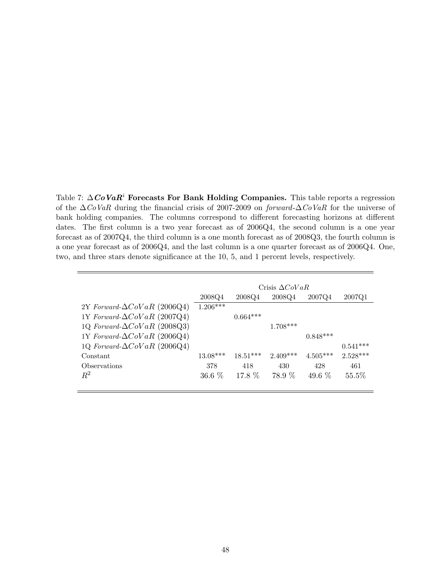Table 7:  $\Delta \mathbf{CoVaR}^i$  Forecasts For Bank Holding Companies. This table reports a regression of the  $\Delta$ CoVaR during the financial crisis of 2007-2009 on forward- $\Delta$ CoVaR for the universe of bank holding companies. The columns correspond to different forecasting horizons at different dates. The first column is a two year forecast as of 2006Q4, the second column is a one year forecast as of 2007Q4, the third column is a one month forecast as of 2008Q3, the fourth column is a one year forecast as of 2006Q4, and the last column is a one quarter forecast as of 2006Q4. One, two, and three stars denote significance at the 10, 5, and 1 percent levels, respectively.

|                                     |            |            | Crisis $\Delta CoVaR$ |            |            |
|-------------------------------------|------------|------------|-----------------------|------------|------------|
|                                     | 2008Q4     | 2008Q4     | 2008Q4                | 2007Q4     | 2007Q1     |
| 2Y Forward- $\Delta CoVaR$ (2006Q4) | $1.206***$ |            |                       |            |            |
| 1Y Forward- $\Delta CoVaR$ (2007Q4) |            | $0.664***$ |                       |            |            |
| 1Q Forward- $\Delta CoVaR$ (2008Q3) |            |            | $1.708***$            |            |            |
| 1Y Forward- $\Delta CoVaR$ (2006Q4) |            |            |                       | $0.848***$ |            |
| 1Q Forward- $\Delta CoVaR$ (2006Q4) |            |            |                       |            | $0.541***$ |
| Constant                            | $13.08***$ | $18.51***$ | $2.409***$            | $4.505***$ | $2.528***$ |
| Observations                        | 378        | 418        | 430                   | 428        | 461        |
| $R^2$                               | $36.6\%$   | 17.8 \%    | 78.9 %                | 49.6 $%$   | 55.5%      |
|                                     |            |            |                       |            |            |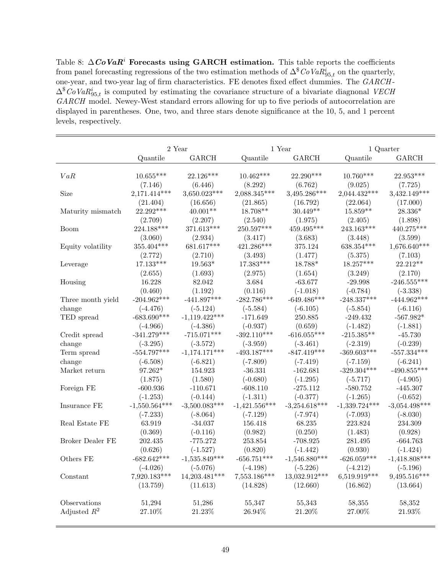Table 8:  $\Delta \mathbf{CoVaR}^i$  Forecasts using GARCH estimation. This table reports the coefficients from panel forecasting regressions of the two estimation methods of  $\Delta^{\$}CoVaR^i_{95,t}$  on the quarterly, one-year, and two-year lag of firm characteristics. FE denotes fixed effect dummies. The GARCH -  $\Delta^{\$}CoVaR_{95,t}^{i}$  is computed by estimating the covariance structure of a bivariate diagnonal VECH GARCH model. Newey-West standard errors allowing for up to five periods of autocorrelation are displayed in parentheses. One, two, and three stars denote significance at the 10, 5, and 1 percent levels, respectively.

|                   |                 | 2 Year          |                 | 1 Year          |                 | 1 Quarter       |  |
|-------------------|-----------------|-----------------|-----------------|-----------------|-----------------|-----------------|--|
|                   | Quantile        | GARCH           | Quantile        | GARCH           | Quantile        | GARCH           |  |
|                   |                 |                 |                 |                 |                 |                 |  |
| VaR               | $10.655***$     | 22.126***       | $10.462***$     | 22.290***       | $10.760***$     | 22.953***       |  |
|                   | (7.146)         | (6.446)         | (8.292)         | (6.762)         | (9.025)         | (7.725)         |  |
| Size              | 2,171.414***    | 3,650.023***    | 2,088.345***    | 3,495.286***    | $2,044.432***$  | 3,432.149***    |  |
|                   | (21.404)        | (16.656)        | (21.865)        | (16.792)        | (22.064)        | (17.000)        |  |
| Maturity mismatch | 22.292***       | $40.001**$      | 18.708**        | $30.449**$      | $15.859**$      | 28.336*         |  |
|                   | (2.709)         | (2.207)         | (2.540)         | (1.975)         | (2.405)         | (1.898)         |  |
| Boom              | 224.188***      | 371.613***      | 250.597***      | 459.495***      | $243.163***$    | 440.275***      |  |
|                   | (3.060)         | (2.934)         | (3.417)         | (3.683)         | (3.448)         | (3.599)         |  |
| Equity volatility | $355.404***$    | 681.617***      | 421.286***      | 375.124         | $638.354***$    | 1,676.640***    |  |
|                   | (2.772)         | (2.710)         | (3.493)         | (1.477)         | (5.375)         | (7.103)         |  |
| Leverage          | $17.133***$     | $19.563*$       | $17.383***$     | 18.788*         | $18.257***$     | $22.212**$      |  |
|                   | (2.655)         | (1.693)         | (2.975)         | (1.654)         | (3.249)         | (2.170)         |  |
| Housing           | 16.228          | 82.042          | $3.684\,$       | $-63.677$       | $-29.998$       | $-246.555***$   |  |
|                   | (0.460)         | (1.192)         | (0.116)         | $(-1.018)$      | $(-0.784)$      | $(-3.338)$      |  |
| Three month yield | $-204.962***$   | $-441.897***$   | $-282.786***$   | $-649.486***$   | $-248.337***$   | $-444.962***$   |  |
| change            | $(-4.476)$      | $(-5.124)$      | $(-5.584)$      | $(-6.105)$      | $(-5.854)$      | $(-6.116)$      |  |
| TED spread        | $-683.690***$   | $-1,119.422***$ | $-171.649$      | 250.885         | $-249.432$      | $-567.982*$     |  |
|                   | $(-4.966)$      | $(-4.386)$      | $(-0.937)$      | (0.659)         | $(-1.482)$      | $(-1.881)$      |  |
| Credit spread     | $-341.279***$   | $-715.071***$   | $-392.110***$   | $-616.055***$   | $-215.385**$    | $-45.730$       |  |
| change            | $(-3.295)$      | $(-3.572)$      | $(-3.959)$      | $(-3.461)$      | $(-2.319)$      | $(-0.239)$      |  |
| Term spread       | $-554.797***$   | $-1,174.171***$ | $-493.187***$   | $-847.419***$   | $-369.603***$   | $-557.334***$   |  |
| change            | $(-6.508)$      | $(-6.821)$      | $(-7.809)$      | $(-7.419)$      | $(-7.159)$      | $(-6.241)$      |  |
| Market return     | 97.262*         | 154.923         | $-36.331$       | $-162.681$      | $-329.304***$   | $-490.855***$   |  |
|                   | (1.875)         | (1.580)         | $(-0.680)$      | $(-1.295)$      | $(-5.717)$      | $(-4.905)$      |  |
| Foreign FE        | $-600.936$      | $-110.671$      | $-608.110$      | $-275.112$      | $-580.752$      | $-445.307$      |  |
|                   | $(-1.253)$      | $(-0.144)$      | $(-1.311)$      | $(-0.377)$      | $(-1.265)$      | $(-0.652)$      |  |
| Insurance FE      | $-1,550.564***$ | $-3,500.083***$ | $-1,421.556***$ | $-3,254.618***$ | $-1,339.724***$ | $-3,054.498***$ |  |
|                   | $(-7.233)$      | $(-8.064)$      | $(-7.129)$      | $(-7.974)$      | $(-7.093)$      | $(-8.030)$      |  |
| Real Estate FE    | 63.919          | $-34.037$       | 156.418         | 68.235          | 223.824         | 234.309         |  |
|                   | (0.369)         | $(-0.116)$      | (0.982)         | (0.250)         | (1.483)         | (0.928)         |  |
| Broker Dealer FE  | 202.435         | $-775.272$      | 253.854         | $-708.925$      | 281.495         | $-664.763$      |  |
|                   | (0.626)         | $(-1.527)$      | (0.820)         | $(-1.442)$      | (0.930)         | $(-1.424)$      |  |
| Others FE         | $-682.642***$   | $-1,535.849***$ | $-656.751***$   | $-1,546.880***$ | $-626.059***$   | $-1,418.808***$ |  |
|                   | $(-4.026)$      | $(-5.076)$      | $(-4.198)$      | $(-5.226)$      | $(-4.212)$      | $(-5.196)$      |  |
| Constant          | 7,920.183***    | 14,203.481***   | 7,553.186***    | 13,032.912***   | 6,519.919***    | 9,495.516***    |  |
|                   | (13.759)        | (11.613)        | (14.828)        | (12.660)        | (16.862)        | (13.664)        |  |
| Observations      | 51,294          | 51,286          | 55,347          | 55,343          | 58,355          | 58,352          |  |
| Adjusted $R^2$    | 27.10%          | 21.23%          | $26.94\%$       | 21.20%          | 27.00%          | 21.93%          |  |
|                   |                 |                 |                 |                 |                 |                 |  |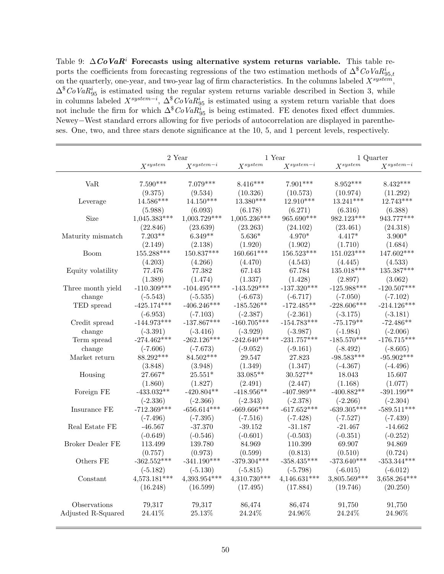Table 9:  $\Delta C$ o Va $R^i$  Forecasts using alternative system returns variable. This table reports the coefficients from forecasting regressions of the two estimation methods of  $\Delta^\$ \text{CoVaR}^i_{95,t}$ on the quarterly, one-year, and two-year lag of firm characteristics. In the columns labeled  $X^{system}$ ,  $\Delta^{\$}CoVaR_{95}^{i}$  is estimated using the regular system returns variable described in Section 3, while in columns labeled  $X^{system-i}$ ,  $\Delta^{\$}CoVaR^{i}_{95}$  is estimated using a system return variable that does not include the firm for which  $\Delta^{\$}CoVaR^i_{95}$  is being estimated. FE denotes fixed effect dummies. Newey−West standard errors allowing for five periods of autocorrelation are displayed in parentheses. One, two, and three stars denote significance at the 10, 5, and 1 percent levels, respectively.

|                           | 2 Year                                      |                | 1 Year         |                                    |                 | 1 Quarter      |
|---------------------------|---------------------------------------------|----------------|----------------|------------------------------------|-----------------|----------------|
|                           | $X^{system}$                                | $Xsystem-i$    | $X^{system}$   | $Xsystem-i$                        | $X^{system}$    | $X^{system-i}$ |
|                           |                                             |                |                |                                    |                 |                |
| VaR                       | $7.590***$                                  | $7.079***$     | $8.416***$     | $7.901***$                         | $8.952***$      | $8.432***$     |
|                           | (9.375)                                     | (9.534)        | (10.326)       | (10.573)                           | (10.974)        | (11.292)       |
| Leverage                  | 14.586***                                   | $14.150***$    | 13.380***      | 12.910***                          | $13.241***$     | 12.743***      |
|                           | (5.988)                                     | (6.093)        | (6.178)        | (6.271)                            | (6.316)         | (6.388)        |
| Size                      | $1,045.383***$                              | $1,003.729***$ | $1,005.236***$ | 965.690***                         | 982.123***      | 943.777***     |
|                           | (22.846)                                    | (23.639)       | (23.263)       | (24.102)                           | (23.461)        | (24.318)       |
| ${\rm Maturity}$ mismatch | $7.203**$                                   | $6.349**$      | $5.636*$       | $4.970*$                           | $4.417*$        | $3.900*$       |
|                           | (2.149)                                     | (2.138)        | (1.920)        | (1.902)                            | (1.710)         | (1.684)        |
| Boom                      | 155.288***                                  | 150.837***     | $160.661***$   | 156.523***                         | 151.023***      | 147.602***     |
|                           | (4.203)                                     | (4.266)        | (4.470)        | (4.543)                            | (4.445)         | (4.533)        |
| Equity volatility         | 77.476                                      | 77.382         | 67.143         | 67.784                             | $135.018***$    | $135.387***$   |
|                           | (1.389)                                     | (1.474)        | (1.337)        | (1.428)                            | (2.897)         | (3.062)        |
| Three month yield         | $-110.309***$                               | $-104.495***$  | $-143.529***$  | $\textbf{-137.320}^{\textbf{***}}$ | $-125.988***$   | $-120.507***$  |
| change                    | $(-5.543)$                                  | $(-5.535)$     | $(-6.673)$     | $(-6.717)$                         | $(-7.050)$      | $(-7.102)$     |
| TED spread                | $-425.174***$                               | $-406.246***$  | $-185.526**$   | $-172.485**$                       | $-228.606***$   | $-214.126***$  |
|                           | $(-6.953)$                                  | $(-7.103)$     | $(-2.387)$     | $(-2.361)$                         | $(-3.175)$      | $(-3.181)$     |
| Credit spread             | $\textbf{-144.973}^{\textbf{\texttt{***}}}$ | $-137.867***$  | $-160.705***$  | $-154.783***$                      | $-75.179**$     | $-72.486**$    |
| change                    | $(-3.391)$                                  | $(-3.416)$     | $(-3.929)$     | $(-3.987)$                         | $(-1.984)$      | $(-2.006)$     |
| Term spread               | $-274.462***$                               | $-262.126***$  | $-242.640***$  | $-231.757^{\ast\ast\ast}$          | $-185.570***$   | $-176.715***$  |
| change                    | $(-7.606)$                                  | $(-7.673)$     | $(-9.052)$     | $(-9.161)$                         | $(-8.492)$      | $(-8.605)$     |
| Market return             | 88.292***                                   | 84.502***      | 29.547         | 27.823                             | $-98.583***$    | $-95.902***$   |
|                           | (3.848)                                     | (3.948)        | (1.349)        | (1.347)                            | $(-4.367)$      | $(-4.496)$     |
| Housing                   | $27.667*$                                   | $25.551*$      | $33.085**$     | $30.527**$                         | 18.043          | 15.607         |
|                           | (1.860)                                     | (1.827)        | (2.491)        | (2.447)                            | (1.168)         | (1.077)        |
| Foreign FE                | $-433.032**$                                | $-420.804**$   | $-418.956**$   | $-407.989**$                       | $-400.882^{**}$ | $-391.199**$   |
|                           | $(-2.336)$                                  | $(-2.366)$     | $(-2.343)$     | $(-2.378)$                         | $(-2.266)$      | $(-2.304)$     |
| Insurance FE              | $-712.369***$                               | $-656.614***$  | $-669.666***$  | $-617.652***$                      | $-639.305***$   | $-589.511***$  |
|                           | $(-7.496)$                                  | $(-7.395)$     | $(-7.516)$     | $(-7.428)$                         | $(-7.527)$      | $(-7.439)$     |
| Real Estate FE            | $-46.567$                                   | $-37.370$      | $-39.152$      | $-31.187$                          | $-21.467$       | $-14.662$      |
|                           | $(-0.649)$                                  | $(-0.546)$     | $(-0.601)$     | $(-0.503)$                         | $(-0.351)$      | $(-0.252)$     |
| Broker Dealer FE          | 113.499                                     | 139.780        | 84.969         | 110.399                            | 69.907          | 94.869         |
|                           | (0.757)                                     | (0.973)        | (0.599)        | (0.813)                            | (0.510)         | (0.724)        |
| Others FE                 | $-362.552***$                               | $-341.190***$  | $-379.304***$  | $-358.435***$                      | $-373.640***$   | $-353.344***$  |
|                           | $(-5.182)$                                  | $(-5.130)$     | $(-5.815)$     | $(-5.798)$                         | $(-6.015)$      | $(-6.012)$     |
| Constant                  | $4,573.181***$                              | $4,393.954***$ | $4,310.730***$ | $4,146.631***$                     | 3,805.569***    | 3,658.264***   |
|                           | (16.248)                                    | (16.599)       | (17.495)       | (17.884)                           | (19.746)        | (20.250)       |
| Observations              | 79,317                                      | 79,317         | 86,474         | 86,474                             | 91,750          | 91,750         |
| Adjusted R-Squared        | 24.41%                                      | 25.13%         | 24.24%         | 24.96%                             | 24.24%          | 24.96%         |
|                           |                                             |                |                |                                    |                 |                |